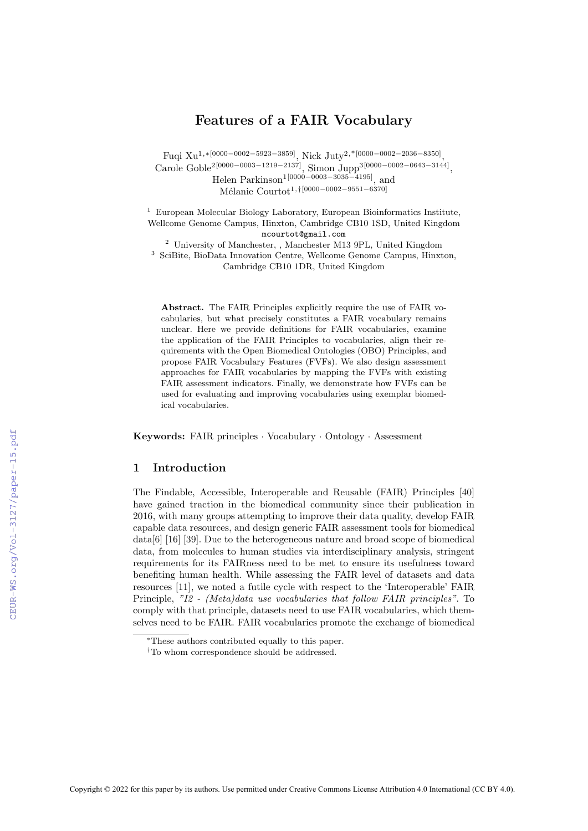## Features of a FAIR Vocabulary

Fuqi Xu1,∗[0000−0002−5923−3859], Nick Juty2,\*[0000−0002−2036−8350] , Carole Goble<sup>2[0000–0003–1219–2137]</sup>, Simon Jupp<sup>3[0000–0002–0643–3144]</sup>, Helen Parkinson1[0000−0003−3035−4195], and M´elanie Courtot1,†[0000−0002−9551−6370]

<sup>1</sup> European Molecular Biology Laboratory, European Bioinformatics Institute, Wellcome Genome Campus, Hinxton, Cambridge CB10 1SD, United Kingdom mcourtot@gmail.com

<sup>2</sup> University of Manchester, , Manchester M13 9PL, United Kingdom <sup>3</sup> SciBite, BioData Innovation Centre, Wellcome Genome Campus, Hinxton, Cambridge CB10 1DR, United Kingdom

Abstract. The FAIR Principles explicitly require the use of FAIR vocabularies, but what precisely constitutes a FAIR vocabulary remains unclear. Here we provide definitions for FAIR vocabularies, examine the application of the FAIR Principles to vocabularies, align their requirements with the Open Biomedical Ontologies (OBO) Principles, and propose FAIR Vocabulary Features (FVFs). We also design assessment approaches for FAIR vocabularies by mapping the FVFs with existing FAIR assessment indicators. Finally, we demonstrate how FVFs can be used for evaluating and improving vocabularies using exemplar biomedical vocabularies.

Keywords: FAIR principles · Vocabulary · Ontology · Assessment

### 1 Introduction

The Findable, Accessible, Interoperable and Reusable (FAIR) Principles [\[40\]](#page--1-0) have gained traction in the biomedical community since their publication in 2016, with many groups attempting to improve their data quality, develop FAIR capable data resources, and design generic FAIR assessment tools for biomedical data[\[6\]](#page--1-1) [\[16\]](#page--1-2) [\[39\]](#page--1-3). Due to the heterogeneous nature and broad scope of biomedical data, from molecules to human studies via interdisciplinary analysis, stringent requirements for its FAIRness need to be met to ensure its usefulness toward benefiting human health. While assessing the FAIR level of datasets and data resources [\[11\]](#page--1-4), we noted a futile cycle with respect to the 'Interoperable' FAIR Principle, "I2 - (Meta)data use vocabularies that follow FAIR principles". To comply with that principle, datasets need to use FAIR vocabularies, which themselves need to be FAIR. FAIR vocabularies promote the exchange of biomedical

<sup>∗</sup>These authors contributed equally to this paper.

<sup>†</sup>To whom correspondence should be addressed.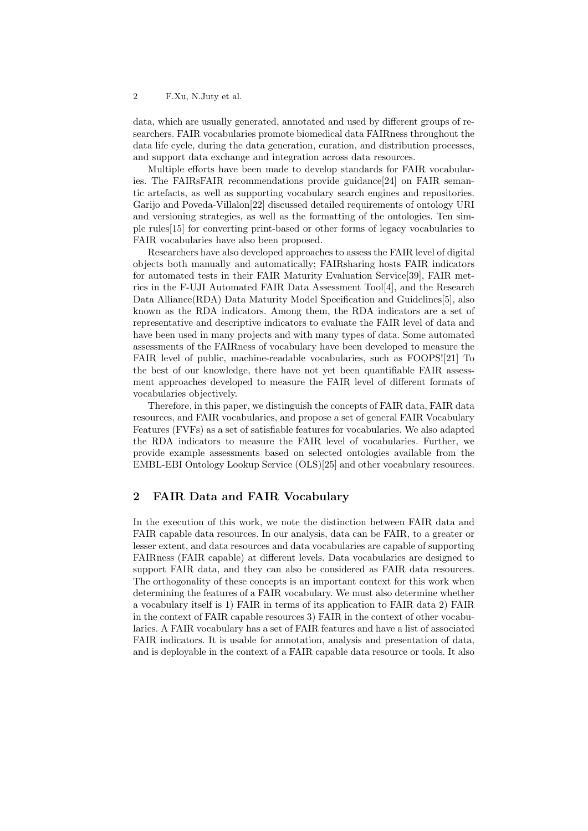data, which are usually generated, annotated and used by different groups of researchers. FAIR vocabularies promote biomedical data FAIRness throughout the data life cycle, during the data generation, curation, and distribution processes, and support data exchange and integration across data resources.

Multiple efforts have been made to develop standards for FAIR vocabularies. The FAIRsFAIR recommendations provide guidance[\[24\]](#page-10-0) on FAIR semantic artefacts, as well as supporting vocabulary search engines and repositories. Garijo and Poveda-Villalon[\[22\]](#page-10-1) discussed detailed requirements of ontology URI and versioning strategies, as well as the formatting of the ontologies. Ten simple rules[\[15\]](#page-10-2) for converting print-based or other forms of legacy vocabularies to FAIR vocabularies have also been proposed.

Researchers have also developed approaches to assess the FAIR level of digital objects both manually and automatically; FAIRsharing hosts FAIR indicators for automated tests in their FAIR Maturity Evaluation Service[\[39\]](#page-11-0), FAIR metrics in the F-UJI Automated FAIR Data Assessment Tool[\[4\]](#page-9-0), and the Research Data Alliance(RDA) Data Maturity Model Specification and Guidelines[\[5\]](#page-9-1), also known as the RDA indicators. Among them, the RDA indicators are a set of representative and descriptive indicators to evaluate the FAIR level of data and have been used in many projects and with many types of data. Some automated assessments of the FAIRness of vocabulary have been developed to measure the FAIR level of public, machine-readable vocabularies, such as FOOPS![\[21\]](#page-10-3) To the best of our knowledge, there have not yet been quantifiable FAIR assessment approaches developed to measure the FAIR level of different formats of vocabularies objectively.

Therefore, in this paper, we distinguish the concepts of FAIR data, FAIR data resources, and FAIR vocabularies, and propose a set of general FAIR Vocabulary Features (FVFs) as a set of satisfiable features for vocabularies. We also adapted the RDA indicators to measure the FAIR level of vocabularies. Further, we provide example assessments based on selected ontologies available from the EMBL-EBI Ontology Lookup Service (OLS)[\[25\]](#page-10-4) and other vocabulary resources.

## 2 FAIR Data and FAIR Vocabulary

In the execution of this work, we note the distinction between FAIR data and FAIR capable data resources. In our analysis, data can be FAIR, to a greater or lesser extent, and data resources and data vocabularies are capable of supporting FAIRness (FAIR capable) at different levels. Data vocabularies are designed to support FAIR data, and they can also be considered as FAIR data resources. The orthogonality of these concepts is an important context for this work when determining the features of a FAIR vocabulary. We must also determine whether a vocabulary itself is 1) FAIR in terms of its application to FAIR data 2) FAIR in the context of FAIR capable resources 3) FAIR in the context of other vocabularies. A FAIR vocabulary has a set of FAIR features and have a list of associated FAIR indicators. It is usable for annotation, analysis and presentation of data, and is deployable in the context of a FAIR capable data resource or tools. It also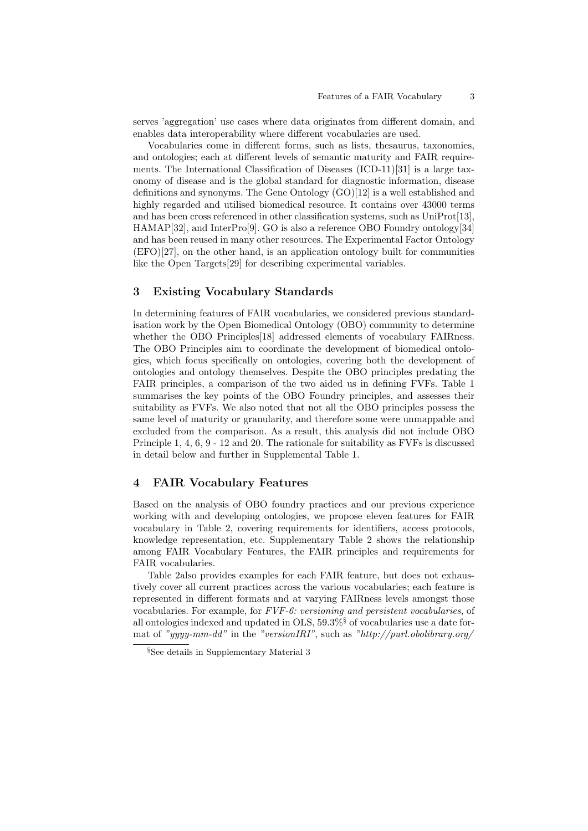serves 'aggregation' use cases where data originates from different domain, and enables data interoperability where different vocabularies are used.

Vocabularies come in different forms, such as lists, thesaurus, taxonomies, and ontologies; each at different levels of semantic maturity and FAIR requirements. The International Classification of Diseases (ICD-11)[\[31\]](#page-11-1) is a large taxonomy of disease and is the global standard for diagnostic information, disease definitions and synonyms. The Gene Ontology (GO)[\[12\]](#page-10-5) is a well established and highly regarded and utilised biomedical resource. It contains over 43000 terms and has been cross referenced in other classification systems, such as UniProt[\[13\]](#page-10-6), HAMAP[\[32\]](#page-11-2), and InterPro[\[9\]](#page-9-2). GO is also a reference OBO Foundry ontology[\[34\]](#page-11-3) and has been reused in many other resources. The Experimental Factor Ontology (EFO)[\[27\]](#page-10-7), on the other hand, is an application ontology built for communities like the Open Targets[\[29\]](#page-11-4) for describing experimental variables.

## 3 Existing Vocabulary Standards

In determining features of FAIR vocabularies, we considered previous standardisation work by the Open Biomedical Ontology (OBO) community to determine whether the OBO Principles<sup>[\[18\]](#page-10-8)</sup> addressed elements of vocabulary FAIRness. The OBO Principles aim to coordinate the development of biomedical ontologies, which focus specifically on ontologies, covering both the development of ontologies and ontology themselves. Despite the OBO principles predating the FAIR principles, a comparison of the two aided us in defining FVFs. [Table 1](#page-3-0) summarises the key points of the OBO Foundry principles, and assesses their suitability as FVFs. We also noted that not all the OBO principles possess the same level of maturity or granularity, and therefore some were unmappable and excluded from the comparison. As a result, this analysis did not include OBO Principle 1, 4, 6, 9 - 12 and 20. The rationale for suitability as FVFs is discussed in detail below and further in Supplemental Table 1.

### <span id="page-2-0"></span>4 FAIR Vocabulary Features

Based on the analysis of OBO foundry practices and our previous experience working with and developing ontologies, we propose eleven features for FAIR vocabulary in [Table 2,](#page-2-0) covering requirements for identifiers, access protocols, knowledge representation, etc. Supplementary Table 2 shows the relationship among FAIR Vocabulary Features, the FAIR principles and requirements for FAIR vocabularies.

[Table 2a](#page-2-0)lso provides examples for each FAIR feature, but does not exhaustively cover all current practices across the various vocabularies; each feature is represented in different formats and at varying FAIRness levels amongst those vocabularies. For example, for FVF-6: versioning and persistent vocabularies, of all ontologies indexed and updated in  $OLS$ ,  $59.3\%$  of vocabularies use a date format of "yyyy-mm-dd" in the "versionIRI", such as "http://purl.obolibrary.org/

<span id="page-2-1"></span><sup>§</sup>See details in Supplementary Material 3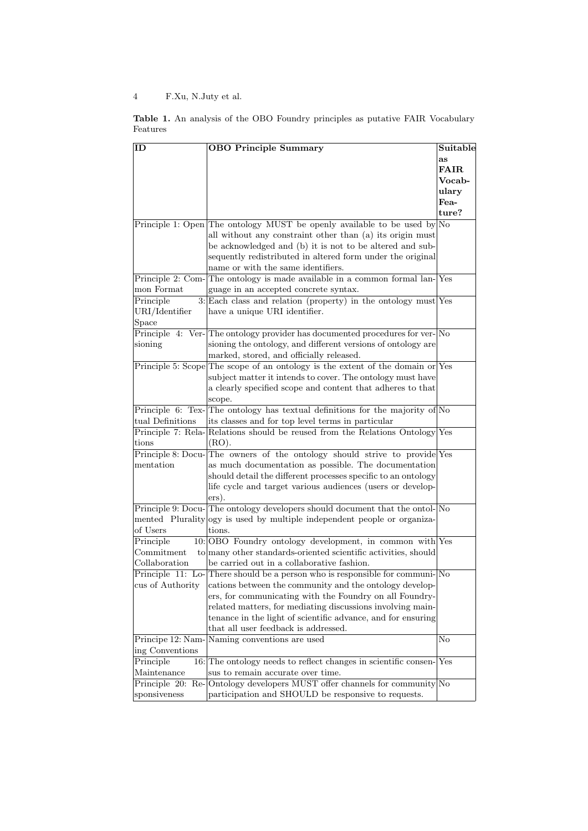<span id="page-3-0"></span>

|          |  |  |  |  |  | <b>Table 1.</b> An analysis of the OBO Foundry principles as putative FAIR Vocabulary |
|----------|--|--|--|--|--|---------------------------------------------------------------------------------------|
| Features |  |  |  |  |  |                                                                                       |

| ID                | <b>OBO Principle Summary</b>                                                       | Suitable    |
|-------------------|------------------------------------------------------------------------------------|-------------|
|                   |                                                                                    | as          |
|                   |                                                                                    | <b>FAIR</b> |
|                   |                                                                                    | Vocab-      |
|                   |                                                                                    | ulary       |
|                   |                                                                                    | Fea-        |
|                   |                                                                                    | ture?       |
|                   | Principle 1: Open The ontology MUST be openly available to be used by No           |             |
|                   | all without any constraint other than (a) its origin must                          |             |
|                   | be acknowledged and (b) it is not to be altered and sub-                           |             |
|                   | sequently redistributed in altered form under the original                         |             |
|                   | name or with the same identifiers.                                                 |             |
|                   | Principle 2: Com-The ontology is made available in a common formal lan-Yes         |             |
| mon Format        | guage in an accepted concrete syntax.                                              |             |
| Principle         | $3$ : Each class and relation (property) in the ontology must Yes                  |             |
| URI/Identifier    | have a unique URI identifier.                                                      |             |
| Space             |                                                                                    |             |
|                   | Principle 4: Ver-The ontology provider has documented procedures for ver-No        |             |
| sioning           | sioning the ontology, and different versions of ontology are                       |             |
|                   | marked, stored, and officially released.                                           |             |
|                   | Principle 5: Scope The scope of an ontology is the extent of the domain or Yes     |             |
|                   | subject matter it intends to cover. The ontology must have                         |             |
|                   | a clearly specified scope and content that adheres to that                         |             |
|                   | scope.                                                                             |             |
|                   | Principle 6: Tex-The ontology has textual definitions for the majority of $No$     |             |
| tual Definitions  | its classes and for top level terms in particular                                  |             |
|                   | Principle 7: Rela-Relations should be reused from the Relations Ontology Yes       |             |
| tions             | (RO).                                                                              |             |
|                   | Principle 8: Docu-The owners of the ontology should strive to provide Yes          |             |
| mentation         | as much documentation as possible. The documentation                               |             |
|                   | should detail the different processes specific to an ontology                      |             |
|                   | life cycle and target various audiences (users or develop-                         |             |
|                   | ers).                                                                              |             |
|                   | Principle 9: Docu-The ontology developers should document that the ontol-No        |             |
| of Users          | mented Plurality ogy is used by multiple independent people or organiza-<br>tions. |             |
| Principle         | 10: OBO Foundry ontology development, in common with Yes                           |             |
| Commitment        | to many other standards-oriented scientific activities, should                     |             |
| Collaboration     | be carried out in a collaborative fashion.                                         |             |
|                   | Principle 11: Lo-There should be a person who is responsible for communi-No        |             |
|                   | cus of Authority cations between the community and the ontology develop-           |             |
|                   | ers, for communicating with the Foundry on all Foundry-                            |             |
|                   | related matters, for mediating discussions involving main-                         |             |
|                   | tenance in the light of scientific advance, and for ensuring                       |             |
|                   | that all user feedback is addressed.                                               |             |
| Principe 12: Nam- | Naming conventions are used                                                        | No          |
| ing Conventions   |                                                                                    |             |
| Principle         | 16: The ontology needs to reflect changes in scientific consen-                    | Yes         |
| Maintenance       | sus to remain accurate over time.                                                  |             |
|                   | Principle 20: Re-Ontology developers MUST offer channels for community No          |             |
| sponsiveness      | participation and SHOULD be responsive to requests.                                |             |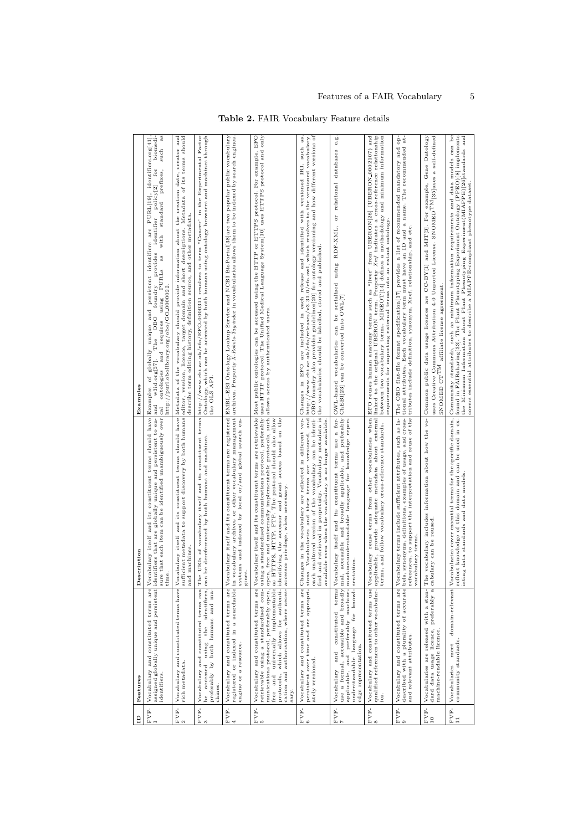| $\mathbf{a}$           | Features                                                                                                                                                                     | Description                                                                                                                                                                                                                                                                                                                                            | Examples                                                                                                                                                                                                                                                                                                                                                                                                                                                                                                                                                                     |
|------------------------|------------------------------------------------------------------------------------------------------------------------------------------------------------------------------|--------------------------------------------------------------------------------------------------------------------------------------------------------------------------------------------------------------------------------------------------------------------------------------------------------------------------------------------------------|------------------------------------------------------------------------------------------------------------------------------------------------------------------------------------------------------------------------------------------------------------------------------------------------------------------------------------------------------------------------------------------------------------------------------------------------------------------------------------------------------------------------------------------------------------------------------|
| FVF-                   | identifiers.                                                                                                                                                                 | Vocabulary and constituted terms are Vocabulary itself and its constituent terms should have Examples assigned globally unique and persistent lidentifiers that a vertex of the samples of the state of the state of the state<br>sure that each item can be identified unambiguously over cal<br>time.                                                | as<br>biomedi-<br>persistent identifiers are PURL[19], identifiers.org[41]<br>such<br>for<br>prefixes,<br>policy[2]<br>standard<br>identifier<br>with<br>provides<br>as<br>using PURLs<br>foundry<br>http://purl.obolibrary.org/obo/GO_0000022<br>of globally unique and<br>The OBO<br>and requires<br>w3id.org[37].<br>ontologies                                                                                                                                                                                                                                           |
| $_{2}^{\mathrm{FVP-}}$ | rich metadata.                                                                                                                                                               | and machines                                                                                                                                                                                                                                                                                                                                           | Vocabulary and constituted terms have Vocabulary itself and its constituent terms should have Metadata of the vocabulary should provide information about the creation date, creator and<br>sufficient metadata to support discovery by both humans editor, version, licence, target domain and short descriptions. Metadata of its terms should<br>describe term editing history, definition source, and other metadata.                                                                                                                                                    |
| $FVF-$<br>3            | Vocabulary and constituted terms can Th<br>accessed using the identifiers,<br>preferably by both humans and ma-<br>chines.<br>be                                             | can be dereferenced by both humans and machines.                                                                                                                                                                                                                                                                                                       | e URIs of vocabulary itself and its constituent terms http://www.ebi.ac.uk/efo/EFO_0000311 resolves to term "Cancer" in the Experimental Factor be dereferenced by both humans and machines through<br>the OLS API.                                                                                                                                                                                                                                                                                                                                                          |
| $FVF-$                 | registered or indexed in a searchable in<br>engine or a resource.                                                                                                            | vocabulary archives or other vocabulary management<br>systems and indexed by local or/and global search en-<br>gines.                                                                                                                                                                                                                                  | Vocabulary and constituted terms are Vocabulary itself and its constituent terms are registered EMBL-EBI Ontology Lookup Service and NCBI BioPortal[38]are two popular public vocabulary<br>archives. Property X-Robots-Tagrindez in vocabularies allows them to be indexed by search engines.                                                                                                                                                                                                                                                                               |
| $_{\rm 5}^{\rm FVP-}$  | free and universally implementable as<br>Vocabulary and constituted terms are<br>which allows for authenti-<br>cation and authorisation, where neces-<br>protocols,<br>sary. | retrievable using a standardised com- using a standardised communications protocol, preferably<br>munications protocol, preferably open, open, free and universally implementable protocols, such<br>HTTPS, HTTP, FTP. The protocol should also allow<br>identifying the accessor and grant access based on the<br>accessor privilege, when necessary. | Vocabulary itself and its constituent terms are retrievable Most public ontologies can be accessed using the HTTP or HTTPS protocol. For example, EFO<br>uses HTTP protocol. The Unified Medical Language System[10] uses HTTPS protocol and only<br>allows access by authenticated users                                                                                                                                                                                                                                                                                    |
| $FVF-$<br>6            | Vocabulary and constituted terms are<br>ately versioned.                                                                                                                     | Changes in the vocabulary are reflected in different ver-<br>available even when the vocabulary is no longer available.                                                                                                                                                                                                                                | each unaltered version of the vocabulary can be identi- OBO foundry also provides guidelines [20] for ontology versioning and how different versions of<br>persistent over time and are appropri- sions. Vocabularies and their terms are versioned, and http://www.ebi.ac.uk/efo/releases/v3.31.0/efo.owl, which resolves to the versioned vocabulary.<br>are included in each release and identified with versioned IRI, such as,<br>fied and retrieved in perpetuity. Vocabulary metadata is the vocabularies should be labelled, stored and published.<br>Changes in EFO |
| $\frac{F}{7}$ VF-      | understandable language for knowl-sentation.<br>applicable, and preferably machine-<br>edge representation.                                                                  | machine-understandable language for knowledge repre-                                                                                                                                                                                                                                                                                                   | e.g<br>Vocabulary and constituted terms Vocabulary itself and its constituent terms use a for- OWL-based vocabularies can be serialised using RDF-XML, or relational databases<br>use a formal, accessible and broadly mal, accessible a                                                                                                                                                                                                                                                                                                                                     |
| $_{\rm FVP-}$ 8        | qualified references to other vocabular- applicable,<br>ies.                                                                                                                 | follow vocabulary cross-reference standards.<br>terms, and                                                                                                                                                                                                                                                                                             | Vocabulary and constituted terms use Vocabulary reuse terms from other vocabularies when EFO reuses human anatomy terms such as "liver" from UBERON[28] (UBERON_0002107) and<br>provide adequate metadata about external linked to the original UBERON term. Property Xref indicates a cross-reference relationship<br>between two vocabulary terms. MIREOT[14] defines a methodology and minimum information<br>requirements for importing external terms into an extant ontology                                                                                           |
| $_{9}^{\rm FVP-}$      | and relevant attributes.                                                                                                                                                     | vocabulary terms                                                                                                                                                                                                                                                                                                                                       | Vocabulary and constituted terms are Vocabulary terms include sufficient attributes, such as la- The OBO flat-file format specification[17] provides a list of recommended mandatory and operation of $\alpha$<br>described with a plurality of accurate bels, synonyms, definitions, examples of usage, and cross- tional attributes. Each vocabulary term must have an ID and a name. The recommended at-<br>references, to support the interpretation and reuse of the tributes include definition, synonym, Xref, relationship, and etc.                                 |
| $_{10}^{\rm FVP-}$     | Vocabularies are released with a stan-<br>dard data usage licence, preferably a<br>machine-readable licence.                                                                 | The vocabulary includes information about how the vocabulary can be reused.                                                                                                                                                                                                                                                                            | uses Creative Commons Attribution 4.0 Unported License. SNOMED <sup>TM</sup> [35]uses a self-defined<br>Common public data usage licences are CC-BY[1] and MIT[3]. For example, Gene Ontology<br>affiliate license agreement<br>SNOMED $\mathbf{C}\mathbf{T}^{\mathsf{T}\mathsf{M}}$                                                                                                                                                                                                                                                                                         |
| $_{11}^{\rm FVP-}$     | community standards.<br>meet<br>Vocabularies                                                                                                                                 | reflect knowledge of this domain and can be used in ex-<br>isting data standards and data models.                                                                                                                                                                                                                                                      | domain-relevant   Vocabularies cover essential terms for the specific domain,   Community standards, such as minimum information requirements and data models can be<br>found in FAIRsharing[33]. The Plant Phenotyping Experiment Ontology (PPEO)[8] implements<br>the Minimum Information about Plant Phenotyping Experiment(MIAPPE)[26]standards and<br>covers essential attributes to describe a MIAPPE-compliant phenotype dataset.                                                                                                                                     |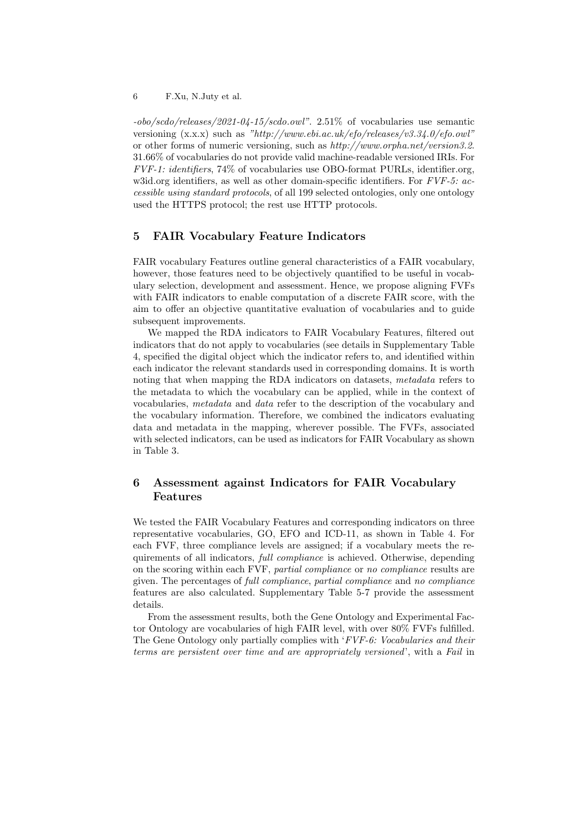-obo/scdo/releases/2021-04-15/scdo.owl". 2.51% of vocabularies use semantic versioning (x.x.x) such as "http://www.ebi.ac.uk/efo/releases/v3.34.0/efo.owl" or other forms of numeric versioning, such as http://www.orpha.net/version3.2. 31.66% of vocabularies do not provide valid machine-readable versioned IRIs. For FVF-1: identifiers, 74% of vocabularies use OBO-format PURLs, identifier.org, w3id.org identifiers, as well as other domain-specific identifiers. For FVF-5: accessible using standard protocols, of all 199 selected ontologies, only one ontology used the HTTPS protocol; the rest use HTTP protocols.

### 5 FAIR Vocabulary Feature Indicators

FAIR vocabulary Features outline general characteristics of a FAIR vocabulary, however, those features need to be objectively quantified to be useful in vocabulary selection, development and assessment. Hence, we propose aligning FVFs with FAIR indicators to enable computation of a discrete FAIR score, with the aim to offer an objective quantitative evaluation of vocabularies and to guide subsequent improvements.

We mapped the RDA indicators to FAIR Vocabulary Features, filtered out indicators that do not apply to vocabularies (see details in Supplementary Table 4, specified the digital object which the indicator refers to, and identified within each indicator the relevant standards used in corresponding domains. It is worth noting that when mapping the RDA indicators on datasets, metadata refers to the metadata to which the vocabulary can be applied, while in the context of vocabularies, metadata and data refer to the description of the vocabulary and the vocabulary information. Therefore, we combined the indicators evaluating data and metadata in the mapping, wherever possible. The FVFs, associated with selected indicators, can be used as indicators for FAIR Vocabulary as shown in [Table 3.](#page-6-0)

## 6 Assessment against Indicators for FAIR Vocabulary Features

We tested the FAIR Vocabulary Features and corresponding indicators on three representative vocabularies, GO, EFO and ICD-11, as shown in [Table 4.](#page-7-0) For each FVF, three compliance levels are assigned; if a vocabulary meets the requirements of all indicators, *full compliance* is achieved. Otherwise, depending on the scoring within each FVF, partial compliance or no compliance results are given. The percentages of full compliance, partial compliance and no compliance features are also calculated. Supplementary Table 5-7 provide the assessment details.

From the assessment results, both the Gene Ontology and Experimental Factor Ontology are vocabularies of high FAIR level, with over 80% FVFs fulfilled. The Gene Ontology only partially complies with 'FVF-6: Vocabularies and their terms are persistent over time and are appropriately versioned', with a Fail in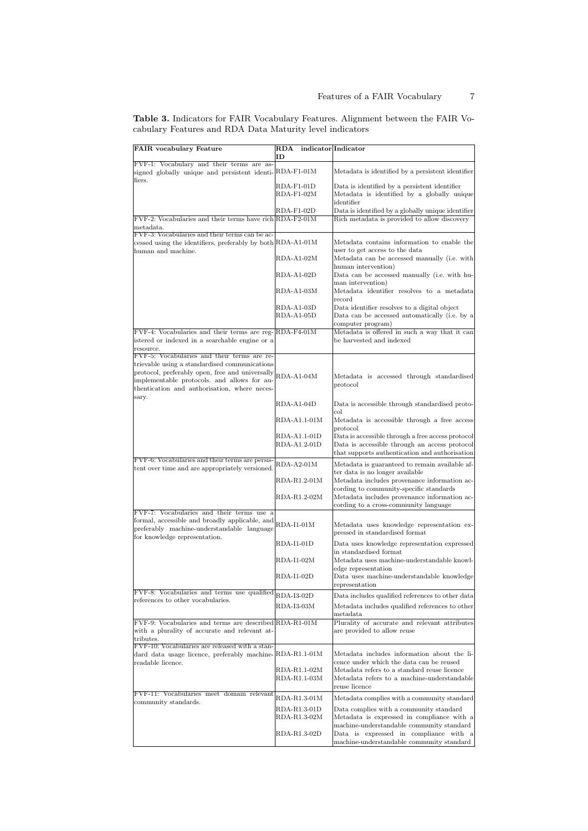| <b>FAIR</b> vocabulary Feature                                                                                                                 | <b>RDA</b>                   | indicator Indicator                                                                                                              |
|------------------------------------------------------------------------------------------------------------------------------------------------|------------------------------|----------------------------------------------------------------------------------------------------------------------------------|
| FVF-1: Vocabulary and their terms are as-                                                                                                      | ID                           |                                                                                                                                  |
| signed globally unique and persistent identi-RDA-F1-01M<br>fiers.                                                                              |                              | Metadata is identified by a persistent identifier                                                                                |
|                                                                                                                                                | RDA-F1-01D<br>$RDA-F1-02M$   | Data is identified by a persistent identifier<br>Metadata is identified by a globally unique<br>identifier                       |
| FVF-2: Vocabularies and their terms have rich RDA-F2-01M                                                                                       | RDA-F1-02D                   | Data is identified by a globally unique identifier<br>Rich metadata is provided to allow discovery                               |
| metadata.                                                                                                                                      |                              |                                                                                                                                  |
| FVF-3: Vocabularies and their terms can be ac-<br>cessed using the identifiers, preferably by both RDA-A1-01M<br>human and machine.            |                              | Metadata contains information to enable the<br>user to get access to the data                                                    |
|                                                                                                                                                | RDA-A1-02M                   | Metadata can be accessed manually (i.e. with<br>human intervention)                                                              |
|                                                                                                                                                | RDA-A1-02D                   | Data can be accessed manually (i.e. with hu-<br>man intervention)                                                                |
|                                                                                                                                                | $RDA-A1-03M$                 | Metadata identifier resolves to a metadata<br>record                                                                             |
|                                                                                                                                                | RDA-A1-03D                   | Data identifier resolves to a digital object                                                                                     |
|                                                                                                                                                | RDA-A1-05D                   | Data can be accessed automatically (i.e. by a                                                                                    |
| FVF-4: Vocabularies and their terms are reg-RDA-F4-01M                                                                                         |                              | computer program)<br>Metadata is offered in such a way that it can                                                               |
| istered or indexed in a searchable engine or a                                                                                                 |                              | be harvested and indexed                                                                                                         |
| resource.<br>FVF-5: Vocabularies and their terms are re-                                                                                       |                              |                                                                                                                                  |
| trievable using a standardised communications                                                                                                  |                              |                                                                                                                                  |
| protocol, preferably open, free and universally<br>implementable protocols. and allows for au-<br>thentication and authorisation, where neces- | RDA-A1-04M                   | Metadata is accessed through standardised<br>$protocol$                                                                          |
| sary.                                                                                                                                          | RDA-A1-04D                   | Data is accessible through standardised proto-<br>col                                                                            |
|                                                                                                                                                | RDA-A1.1-01M                 | Metadata is accessible through a free access<br>protocol                                                                         |
|                                                                                                                                                | RDA-A1.1-01D                 | Data is accessible through a free access protocol                                                                                |
|                                                                                                                                                | RDA-A1.2-01D                 | Data is accessible through an access protocol<br>that supports authentication and authorisation                                  |
| FVF-6: Vocabularies and their terms are persis-                                                                                                | $RDA-A2-01M$                 | Metadata is guaranteed to remain available af-                                                                                   |
| tent over time and are appropriately versioned.                                                                                                | RDA-R1.2-01M                 | ter data is no longer available<br>Metadata includes provenance information ac-                                                  |
|                                                                                                                                                | RDA-R1.2-02M                 | cording to community-specific standards<br>Metadata includes provenance information ac-<br>cording to a cross-community language |
| FVF-7: Vocabularies and their terms use a                                                                                                      |                              |                                                                                                                                  |
| formal, accessible and broadly applicable, and<br>preferably machine-understandable language<br>for knowledge representation.                  | RDA-I1-01M                   | Metadata uses knowledge representation ex-<br>pressed in standardised format                                                     |
|                                                                                                                                                | <b>RDA-I1-01D</b>            | Data uses knowledge representation expressed<br>in standardised format                                                           |
|                                                                                                                                                | RDA-I1-02M                   | Metadata uses machine-understandable knowl-<br>edge representation                                                               |
|                                                                                                                                                | RDA-I1-02D                   | Data uses machine-understandable knowledge<br>representation                                                                     |
| FVF-8: Vocabularies and terms use qualified                                                                                                    | RDA-I3-02D                   | Data includes qualified references to other data                                                                                 |
| references to other vocabularies.                                                                                                              | RDA-I3-03M                   | Metadata includes qualified references to other<br>metadata                                                                      |
| FVF-9: Vocabularies and terms are described RDA-R1-01M<br>with a plurality of accurate and relevant at-<br>tributes.                           |                              | Plurality of accurate and relevant attributes<br>are provided to allow reuse                                                     |
| FVF-10: Vocabularies are released with a stan-                                                                                                 | RDA-R1.1-01M                 | Metadata includes information about the li-                                                                                      |
| dard data usage licence, preferably machine-<br>readable licence.                                                                              |                              | cence under which the data can be reused                                                                                         |
|                                                                                                                                                | RDA-R1.1-02M<br>RDA-R1.1-03M | Metadata refers to a standard reuse licence<br>Metadata refers to a machine-understandable<br>reuse licence                      |
| FVF-11: Vocabularies meet domain relevant                                                                                                      |                              |                                                                                                                                  |
| community standards.                                                                                                                           | RDA-R1.3-01M                 | Metadata complies with a community standard                                                                                      |
|                                                                                                                                                | RDA-R1.3-01D                 | Data complies with a community standard                                                                                          |
|                                                                                                                                                | RDA-R1.3-02M                 | Metadata is expressed in compliance with a<br>machine-understandable community standard                                          |
|                                                                                                                                                | RDA-R1.3-02D                 | Data is expressed in compliance with a<br>machine-understandable community standard                                              |

<span id="page-6-0"></span>Table 3. Indicators for FAIR Vocabulary Features. Alignment between the FAIR Vocabulary Features and RDA Data Maturity level indicators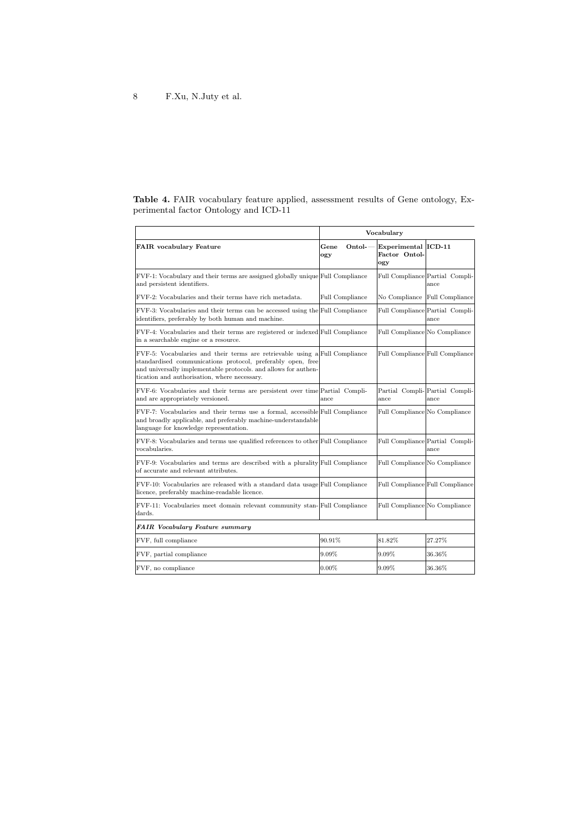<span id="page-7-0"></span>

|  |                                       |  | <b>Table 4.</b> FAIR vocabulary feature applied, assessment results of Gene ontology, Ex- |  |  |  |
|--|---------------------------------------|--|-------------------------------------------------------------------------------------------|--|--|--|
|  | perimental factor Ontology and ICD-11 |  |                                                                                           |  |  |  |

|                                                                                                                                                                                                                                                               |                       | Vocabulary                                  |                                         |
|---------------------------------------------------------------------------------------------------------------------------------------------------------------------------------------------------------------------------------------------------------------|-----------------------|---------------------------------------------|-----------------------------------------|
| <b>FAIR</b> vocabulary Feature                                                                                                                                                                                                                                | Ontol-<br>Gene<br>ogy | Experimental ICD-11<br>Factor Ontol-<br>ogy |                                         |
| FVF-1: Vocabulary and their terms are assigned globally unique Full Compliance<br>and persistent identifiers.                                                                                                                                                 |                       |                                             | Full Compliance Partial Compli-<br>ance |
| FVF-2: Vocabularies and their terms have rich metadata.                                                                                                                                                                                                       | Full Compliance       | No Compliance                               | Full Compliance                         |
| FVF-3: Vocabularies and their terms can be accessed using the Full Compliance<br>identifiers, preferably by both human and machine.                                                                                                                           |                       |                                             | Full Compliance Partial Compli-<br>ance |
| FVF-4: Vocabularies and their terms are registered or indexed Full Compliance<br>in a searchable engine or a resource.                                                                                                                                        |                       | Full Compliance No Compliance               |                                         |
| FVF-5: Vocabularies and their terms are retrievable using a Full Compliance<br>standardised communications protocol, preferably open, free<br>and universally implementable protocols. and allows for authen-<br>tication and authorisation, where necessary. |                       |                                             | Full Compliance Full Compliance         |
| FVF-6: Vocabularies and their terms are persistent over time Partial Compli-<br>and are appropriately versioned.                                                                                                                                              | ance                  | ance                                        | Partial Compli-Partial Compli-<br>ance  |
| FVF-7: Vocabularies and their terms use a formal, accessible Full Compliance<br>and broadly applicable, and preferably machine-understandable<br>language for knowledge representation.                                                                       |                       | Full Compliance No Compliance               |                                         |
| FVF-8: Vocabularies and terms use qualified references to other Full Compliance<br>vocabularies.                                                                                                                                                              |                       |                                             | Full Compliance Partial Compli-<br>ance |
| FVF-9: Vocabularies and terms are described with a plurality Full Compliance<br>of accurate and relevant attributes.                                                                                                                                          |                       | Full Compliance No Compliance               |                                         |
| FVF-10: Vocabularies are released with a standard data usage Full Compliance<br>licence, preferably machine-readable licence.                                                                                                                                 |                       |                                             | Full Compliance Full Compliance         |
| FVF-11: Vocabularies meet domain relevant community stan-Full Compliance<br>dards.                                                                                                                                                                            |                       | Full Compliance No Compliance               |                                         |
| <b>FAIR</b> Vocabulary Feature summary                                                                                                                                                                                                                        |                       |                                             |                                         |
| FVF, full compliance                                                                                                                                                                                                                                          | 90.91%                | 81.82%                                      | $27.27\%$                               |
| FVF, partial compliance                                                                                                                                                                                                                                       | 9.09%                 | 9.09%                                       | 36.36%                                  |
| FVF, no compliance                                                                                                                                                                                                                                            | $0.00\%$              | 9.09%                                       | 36.36%                                  |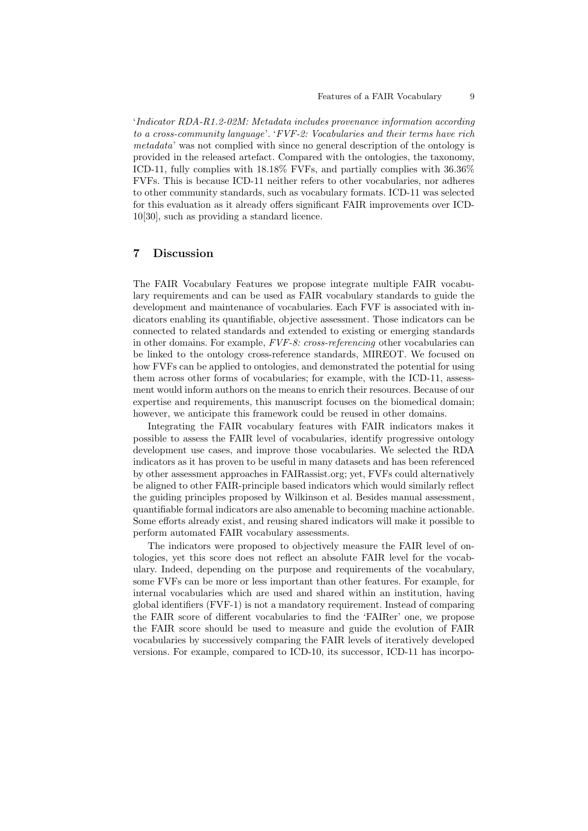#### Features of a FAIR Vocabulary 9

'Indicator RDA-R1.2-02M: Metadata includes provenance information according to a cross-community language'. 'FVF-2: Vocabularies and their terms have rich metadata' was not complied with since no general description of the ontology is provided in the released artefact. Compared with the ontologies, the taxonomy, ICD-11, fully complies with 18.18% FVFs, and partially complies with 36.36% FVFs. This is because ICD-11 neither refers to other vocabularies, nor adheres to other community standards, such as vocabulary formats. ICD-11 was selected for this evaluation as it already offers significant FAIR improvements over ICD-10[\[30\]](#page-11-10), such as providing a standard licence.

### 7 Discussion

The FAIR Vocabulary Features we propose integrate multiple FAIR vocabulary requirements and can be used as FAIR vocabulary standards to guide the development and maintenance of vocabularies. Each FVF is associated with indicators enabling its quantifiable, objective assessment. Those indicators can be connected to related standards and extended to existing or emerging standards in other domains. For example, FVF-8: cross-referencing other vocabularies can be linked to the ontology cross-reference standards, MIREOT. We focused on how FVFs can be applied to ontologies, and demonstrated the potential for using them across other forms of vocabularies; for example, with the ICD-11, assessment would inform authors on the means to enrich their resources. Because of our expertise and requirements, this manuscript focuses on the biomedical domain; however, we anticipate this framework could be reused in other domains.

Integrating the FAIR vocabulary features with FAIR indicators makes it possible to assess the FAIR level of vocabularies, identify progressive ontology development use cases, and improve those vocabularies. We selected the RDA indicators as it has proven to be useful in many datasets and has been referenced by other assessment approaches in FAIRassist.org; yet, FVFs could alternatively be aligned to other FAIR-principle based indicators which would similarly reflect the guiding principles proposed by Wilkinson et al. Besides manual assessment, quantifiable formal indicators are also amenable to becoming machine actionable. Some efforts already exist, and reusing shared indicators will make it possible to perform automated FAIR vocabulary assessments.

The indicators were proposed to objectively measure the FAIR level of ontologies, yet this score does not reflect an absolute FAIR level for the vocabulary. Indeed, depending on the purpose and requirements of the vocabulary, some FVFs can be more or less important than other features. For example, for internal vocabularies which are used and shared within an institution, having global identifiers (FVF-1) is not a mandatory requirement. Instead of comparing the FAIR score of different vocabularies to find the 'FAIRer' one, we propose the FAIR score should be used to measure and guide the evolution of FAIR vocabularies by successively comparing the FAIR levels of iteratively developed versions. For example, compared to ICD-10, its successor, ICD-11 has incorpo-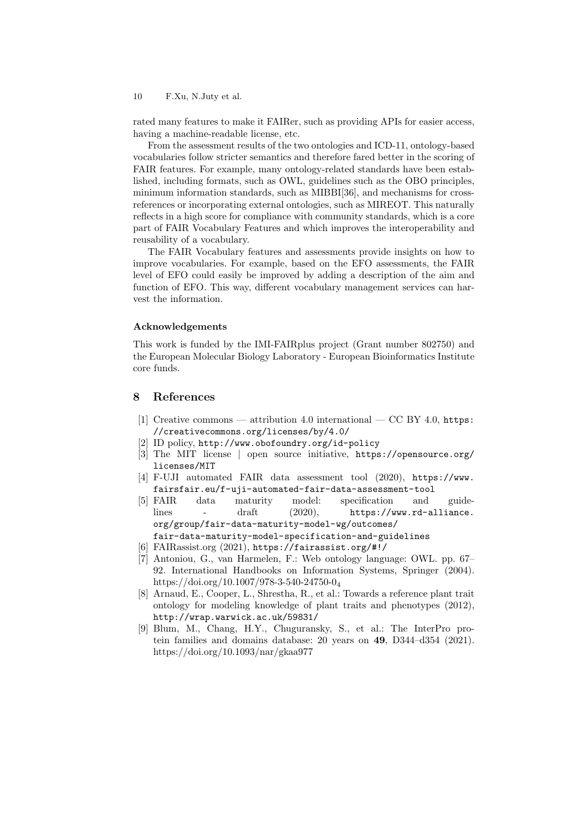rated many features to make it FAIRer, such as providing APIs for easier access, having a machine-readable license, etc.

From the assessment results of the two ontologies and ICD-11, ontology-based vocabularies follow stricter semantics and therefore fared better in the scoring of FAIR features. For example, many ontology-related standards have been established, including formats, such as OWL, guidelines such as the OBO principles, minimum information standards, such as MIBBI[\[36\]](#page-11-11), and mechanisms for crossreferences or incorporating external ontologies, such as MIREOT. This naturally reflects in a high score for compliance with community standards, which is a core part of FAIR Vocabulary Features and which improves the interoperability and reusability of a vocabulary.

The FAIR Vocabulary features and assessments provide insights on how to improve vocabularies. For example, based on the EFO assessments, the FAIR level of EFO could easily be improved by adding a description of the aim and function of EFO. This way, different vocabulary management services can harvest the information.

#### Acknowledgements

This work is funded by the IMI-FAIRplus project (Grant number 802750) and the European Molecular Biology Laboratory - European Bioinformatics Institute core funds.

## 8 References

- <span id="page-9-5"></span>[1] Creative commons — attribution 4.0 international — CC BY 4.0, [https:](https://creativecommons.org/licenses/by/4.0/) [//creativecommons.org/licenses/by/4.0/](https://creativecommons.org/licenses/by/4.0/)
- <span id="page-9-3"></span>[2] ID policy, <http://www.obofoundry.org/id-policy>
- <span id="page-9-6"></span>[3] The MIT license | open source initiative, [https://opensource.org/](https://opensource.org/licenses/MIT) [licenses/MIT](https://opensource.org/licenses/MIT)
- <span id="page-9-0"></span>[4] F-UJI automated FAIR data assessment tool (2020), [https://www.](https://www.fairsfair.eu/f-uji-automated-fair-data-assessment-tool) [fairsfair.eu/f-uji-automated-fair-data-assessment-tool](https://www.fairsfair.eu/f-uji-automated-fair-data-assessment-tool)
- <span id="page-9-1"></span>[5] FAIR data maturity model: specification and guidelines - draft (2020), [https://www.rd-alliance.](https://www.rd-alliance.org/group/fair-data-maturity-model-wg/outcomes/fair-data-maturity-model-specification-and-guidelines) [org/group/fair-data-maturity-model-wg/outcomes/](https://www.rd-alliance.org/group/fair-data-maturity-model-wg/outcomes/fair-data-maturity-model-specification-and-guidelines)
- [fair-data-maturity-model-specification-and-guidelines](https://www.rd-alliance.org/group/fair-data-maturity-model-wg/outcomes/fair-data-maturity-model-specification-and-guidelines)
- [6] FAIRassist.org (2021), <https://fairassist.org/#!/>
- <span id="page-9-4"></span>[7] Antoniou, G., van Harmelen, F.: Web ontology language: OWL. pp. 67– 92. International Handbooks on Information Systems, Springer (2004). [https://doi.org/10.1007/978-3-540-24750-0](https://doi.org/10.1007/978-3-540-24750-0_4)<sup>4</sup>
- <span id="page-9-7"></span>[8] Arnaud, E., Cooper, L., Shrestha, R., et al.: Towards a reference plant trait ontology for modeling knowledge of plant traits and phenotypes (2012), <http://wrap.warwick.ac.uk/59831/>
- <span id="page-9-2"></span>[9] Blum, M., Chang, H.Y., Chuguransky, S., et al.: The InterPro protein families and domains database: 20 years on 49, D344–d354 (2021). <https://doi.org/10.1093/nar/gkaa977>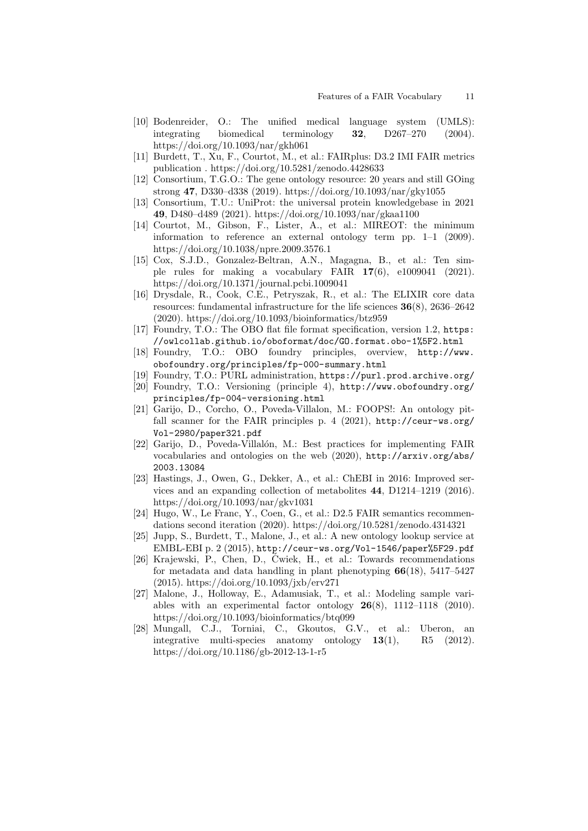- <span id="page-10-10"></span>[10] Bodenreider, O.: The unified medical language system (UMLS): integrating biomedical terminology 32, D267–270 (2004). <https://doi.org/10.1093/nar/gkh061>
- [11] Burdett, T., Xu, F., Courtot, M., et al.: FAIRplus: D3.2 IMI FAIR metrics publication .<https://doi.org/10.5281/zenodo.4428633>
- <span id="page-10-5"></span>[12] Consortium, T.G.O.: The gene ontology resource: 20 years and still GOing strong 47, D330–d338 (2019).<https://doi.org/10.1093/nar/gky1055>
- <span id="page-10-6"></span>[13] Consortium, T.U.: UniProt: the universal protein knowledgebase in 2021 49, D480–d489 (2021).<https://doi.org/10.1093/nar/gkaa1100>
- <span id="page-10-14"></span>[14] Courtot, M., Gibson, F., Lister, A., et al.: MIREOT: the minimum information to reference an external ontology term pp. 1–1 (2009). <https://doi.org/10.1038/npre.2009.3576.1>
- <span id="page-10-2"></span>[15] Cox, S.J.D., Gonzalez-Beltran, A.N., Magagna, B., et al.: Ten simple rules for making a vocabulary FAIR  $17(6)$ , e1009041 (2021). <https://doi.org/10.1371/journal.pcbi.1009041>
- [16] Drysdale, R., Cook, C.E., Petryszak, R., et al.: The ELIXIR core data resources: fundamental infrastructure for the life sciences 36(8), 2636–2642 (2020).<https://doi.org/10.1093/bioinformatics/btz959>
- <span id="page-10-15"></span>[17] Foundry, T.O.: The OBO flat file format specification, version 1.2, [https:](https://owlcollab.github.io/oboformat/doc/GO.format.obo-1%5F2.html) [//owlcollab.github.io/oboformat/doc/GO.format.obo-1%5F2.html](https://owlcollab.github.io/oboformat/doc/GO.format.obo-1%5F2.html)
- <span id="page-10-8"></span>[18] Foundry, T.O.: OBO foundry principles, overview, [http://www.](http://www.obofoundry.org/principles/fp-000-summary.html) [obofoundry.org/principles/fp-000-summary.html](http://www.obofoundry.org/principles/fp-000-summary.html)
- <span id="page-10-11"></span><span id="page-10-9"></span>[19] Foundry, T.O.: PURL administration, <https://purl.prod.archive.org/> [20] Foundry, T.O.: Versioning (principle 4), [http://www.obofoundry.org/](http://www.obofoundry.org/principles/fp-004-versioning.html)
- [principles/fp-004-versioning.html](http://www.obofoundry.org/principles/fp-004-versioning.html) [21] Garijo, D., Corcho, O., Poveda-Villalon, M.: FOOPS!: An ontology pit-
- <span id="page-10-3"></span>fall scanner for the FAIR principles p. 4 (2021), [http://ceur-ws.org/](http://ceur-ws.org/Vol-2980/paper321.pdf) [Vol-2980/paper321.pdf](http://ceur-ws.org/Vol-2980/paper321.pdf)
- <span id="page-10-1"></span>[22] Garijo, D., Poveda-Villalón, M.: Best practices for implementing FAIR vocabularies and ontologies on the web (2020), [http://arxiv.org/abs/](http://arxiv.org/abs/2003.13084) [2003.13084](http://arxiv.org/abs/2003.13084)
- <span id="page-10-12"></span>[23] Hastings, J., Owen, G., Dekker, A., et al.: ChEBI in 2016: Improved services and an expanding collection of metabolites 44, D1214–1219 (2016). <https://doi.org/10.1093/nar/gkv1031>
- <span id="page-10-0"></span>[24] Hugo, W., Le Franc, Y., Coen, G., et al.: D2.5 FAIR semantics recommendations second iteration (2020).<https://doi.org/10.5281/zenodo.4314321>
- <span id="page-10-4"></span>[25] Jupp, S., Burdett, T., Malone, J., et al.: A new ontology lookup service at EMBL-EBI p. 2 (2015), <http://ceur-ws.org/Vol-1546/paper%5F29.pdf>
- <span id="page-10-16"></span>[26] Krajewski, P., Chen, D., Ćwiek, H., et al.: Towards recommendations for metadata and data handling in plant phenotyping  $66(18)$ , 5417–5427 (2015).<https://doi.org/10.1093/jxb/erv271>
- <span id="page-10-7"></span>[27] Malone, J., Holloway, E., Adamusiak, T., et al.: Modeling sample variables with an experimental factor ontology  $26(8)$ , 1112–1118 (2010). <https://doi.org/10.1093/bioinformatics/btq099>
- <span id="page-10-13"></span>[28] Mungall, C.J., Torniai, C., Gkoutos, G.V., et al.: Uberon, an integrative multi-species anatomy ontology 13(1), R5 (2012). <https://doi.org/10.1186/gb-2012-13-1-r5>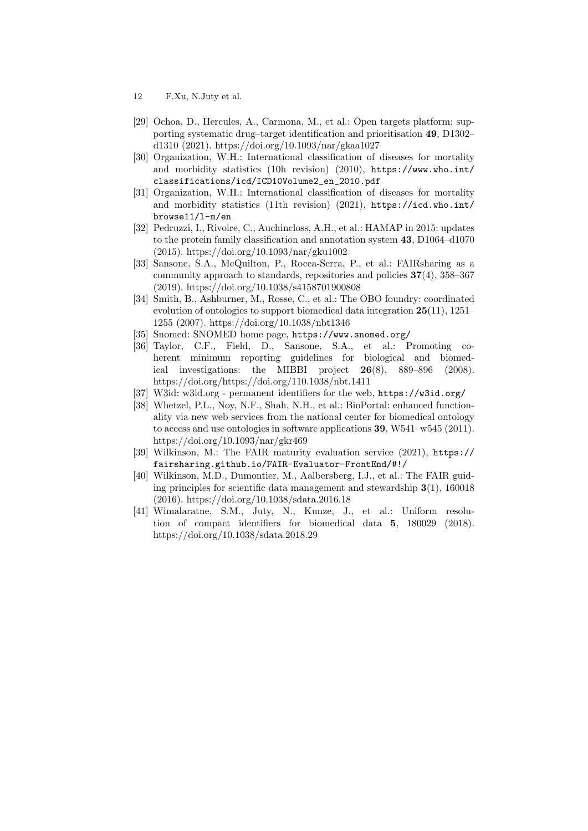- 12 F.Xu, N.Juty et al.
- <span id="page-11-4"></span>[29] Ochoa, D., Hercules, A., Carmona, M., et al.: Open targets platform: supporting systematic drug–target identification and prioritisation 49, D1302– d1310 (2021).<https://doi.org/10.1093/nar/gkaa1027>
- <span id="page-11-10"></span>[30] Organization, W.H.: International classification of diseases for mortality and morbidity statistics (10h revision) (2010),  $https://www.who.int/$ [classifications/icd/ICD10Volume2\\_en\\_2010.pdf](https://www.who.int/classifications/icd/ICD10Volume2_en_2010.pdf)
- <span id="page-11-1"></span>[31] Organization, W.H.: International classification of diseases for mortality and morbidity statistics (11th revision) (2021),  $\frac{htps}{1/d}$ , who.int/ [browse11/l-m/en](https://icd.who.int/browse11/l-m/en)
- <span id="page-11-2"></span>[32] Pedruzzi, I., Rivoire, C., Auchincloss, A.H., et al.: HAMAP in 2015: updates to the protein family classification and annotation system 43, D1064–d1070 (2015).<https://doi.org/10.1093/nar/gku1002>
- <span id="page-11-9"></span>[33] Sansone, S.A., McQuilton, P., Rocca-Serra, P., et al.: FAIRsharing as a community approach to standards, repositories and policies  $37(4)$ ,  $358-367$ (2019). [https://doi.org/10.1038/s4158701900808](https://doi.org/10.1038/s41587\protect \discretionary {\char \hyphenchar \font }{}{}019\protect \discretionary {\char \hyphenchar \font }{}{}0080\protect \discretionary {\char \hyphenchar \font }{}{}8)
- <span id="page-11-3"></span>[34] Smith, B., Ashburner, M., Rosse, C., et al.: The OBO foundry: coordinated evolution of ontologies to support biomedical data integration 25(11), 1251– 1255 (2007).<https://doi.org/10.1038/nbt1346>
- <span id="page-11-8"></span>[35] Snomed: SNOMED home page, <https://www.snomed.org/>
- <span id="page-11-11"></span>[36] Taylor, C.F., Field, D., Sansone, S.A., et al.: Promoting coherent minimum reporting guidelines for biological and biomedical investigations: the MIBBI project  $26(8)$ ,  $889-896$  (2008). <https://doi.org/https://doi.org/110.1038/nbt.1411>
- <span id="page-11-6"></span>[37] W3id: w3id.org - permanent identifiers for the web, <https://w3id.org/>
- <span id="page-11-7"></span>[38] Whetzel, P.L., Noy, N.F., Shah, N.H., et al.: BioPortal: enhanced functionality via new web services from the national center for biomedical ontology to access and use ontologies in software applications  $39. W541-w545 (2011)$ . <https://doi.org/10.1093/nar/gkr469>
- <span id="page-11-0"></span>[39] Wilkinson, M.: The FAIR maturity evaluation service (2021), [https://](https://fairsharing.github.io/FAIR-Evaluator-FrontEnd/#!/) [fairsharing.github.io/FAIR-Evaluator-FrontEnd/#!/](https://fairsharing.github.io/FAIR-Evaluator-FrontEnd/#!/)
- [40] Wilkinson, M.D., Dumontier, M., Aalbersberg, I.J., et al.: The FAIR guiding principles for scientific data management and stewardship  $3(1)$ , 160018 (2016).<https://doi.org/10.1038/sdata.2016.18>
- <span id="page-11-5"></span>[41] Wimalaratne, S.M., Juty, N., Kunze, J., et al.: Uniform resolution of compact identifiers for biomedical data 5, 180029 (2018). <https://doi.org/10.1038/sdata.2018.29>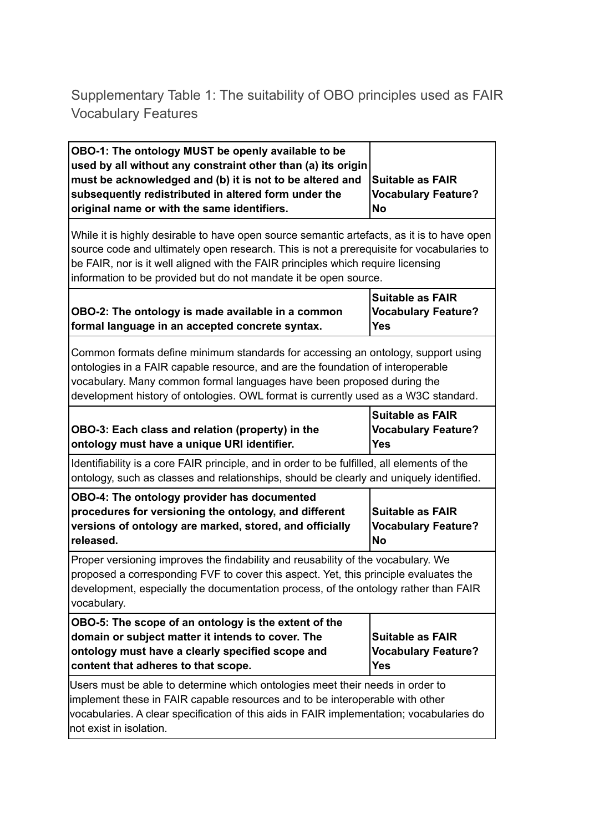## Supplementary Table 1: The suitability of OBO principles used as FAIR Vocabulary Features

| OBO-1: The ontology MUST be openly available to be<br>used by all without any constraint other than (a) its origin<br>must be acknowledged and (b) it is not to be altered and<br>subsequently redistributed in altered form under the<br>original name or with the same identifiers.                                                          | Suitable as FAIR<br><b>Vocabulary Feature?</b><br><b>No</b>         |  |  |  |
|------------------------------------------------------------------------------------------------------------------------------------------------------------------------------------------------------------------------------------------------------------------------------------------------------------------------------------------------|---------------------------------------------------------------------|--|--|--|
| While it is highly desirable to have open source semantic artefacts, as it is to have open<br>source code and ultimately open research. This is not a prerequisite for vocabularies to<br>be FAIR, nor is it well aligned with the FAIR principles which require licensing<br>information to be provided but do not mandate it be open source. |                                                                     |  |  |  |
| OBO-2: The ontology is made available in a common<br>formal language in an accepted concrete syntax.                                                                                                                                                                                                                                           | <b>Suitable as FAIR</b><br><b>Vocabulary Feature?</b><br><b>Yes</b> |  |  |  |
| Common formats define minimum standards for accessing an ontology, support using<br>ontologies in a FAIR capable resource, and are the foundation of interoperable<br>vocabulary. Many common formal languages have been proposed during the<br>development history of ontologies. OWL format is currently used as a W3C standard.             |                                                                     |  |  |  |
| OBO-3: Each class and relation (property) in the<br>ontology must have a unique URI identifier.                                                                                                                                                                                                                                                | <b>Suitable as FAIR</b><br><b>Vocabulary Feature?</b><br><b>Yes</b> |  |  |  |
| Identifiability is a core FAIR principle, and in order to be fulfilled, all elements of the<br>ontology, such as classes and relationships, should be clearly and uniquely identified.                                                                                                                                                         |                                                                     |  |  |  |
| OBO-4: The ontology provider has documented<br>procedures for versioning the ontology, and different<br>versions of ontology are marked, stored, and officially<br>released.                                                                                                                                                                   | <b>Suitable as FAIR</b><br><b>Vocabulary Feature?</b><br><b>No</b>  |  |  |  |
| Proper versioning improves the findability and reusability of the vocabulary. We<br>proposed a corresponding FVF to cover this aspect. Yet, this principle evaluates the<br>development, especially the documentation process, of the ontology rather than FAIR<br>vocabulary.                                                                 |                                                                     |  |  |  |
| OBO-5: The scope of an ontology is the extent of the<br>domain or subject matter it intends to cover. The<br>ontology must have a clearly specified scope and<br>content that adheres to that scope.                                                                                                                                           | <b>Suitable as FAIR</b><br><b>Vocabulary Feature?</b><br>Yes        |  |  |  |
| Users must be able to determine which ontologies meet their needs in order to<br>implement these in FAIR capable resources and to be interoperable with other<br>vocabularies. A clear specification of this aids in FAIR implementation; vocabularies do<br>not exist in isolation.                                                           |                                                                     |  |  |  |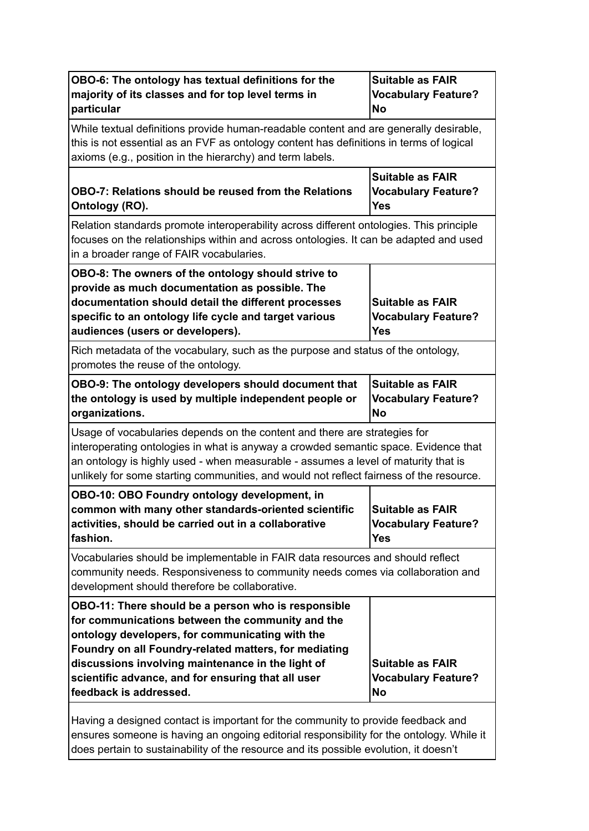| OBO-6: The ontology has textual definitions for the<br>majority of its classes and for top level terms in<br>particular                                                                                                                                                                                                                                  | <b>Suitable as FAIR</b><br><b>Vocabulary Feature?</b><br>No         |  |  |  |  |
|----------------------------------------------------------------------------------------------------------------------------------------------------------------------------------------------------------------------------------------------------------------------------------------------------------------------------------------------------------|---------------------------------------------------------------------|--|--|--|--|
| While textual definitions provide human-readable content and are generally desirable,<br>this is not essential as an FVF as ontology content has definitions in terms of logical<br>axioms (e.g., position in the hierarchy) and term labels.                                                                                                            |                                                                     |  |  |  |  |
| OBO-7: Relations should be reused from the Relations<br>Ontology (RO).                                                                                                                                                                                                                                                                                   | <b>Suitable as FAIR</b><br><b>Vocabulary Feature?</b><br><b>Yes</b> |  |  |  |  |
| Relation standards promote interoperability across different ontologies. This principle<br>focuses on the relationships within and across ontologies. It can be adapted and used<br>in a broader range of FAIR vocabularies.                                                                                                                             |                                                                     |  |  |  |  |
| OBO-8: The owners of the ontology should strive to<br>provide as much documentation as possible. The<br>documentation should detail the different processes<br>specific to an ontology life cycle and target various<br>audiences (users or developers).                                                                                                 | <b>Suitable as FAIR</b><br><b>Vocabulary Feature?</b><br>Yes        |  |  |  |  |
| Rich metadata of the vocabulary, such as the purpose and status of the ontology,<br>promotes the reuse of the ontology.                                                                                                                                                                                                                                  |                                                                     |  |  |  |  |
| OBO-9: The ontology developers should document that<br>the ontology is used by multiple independent people or<br>organizations.                                                                                                                                                                                                                          | <b>Suitable as FAIR</b><br><b>Vocabulary Feature?</b><br><b>No</b>  |  |  |  |  |
| Usage of vocabularies depends on the content and there are strategies for<br>interoperating ontologies in what is anyway a crowded semantic space. Evidence that<br>an ontology is highly used - when measurable - assumes a level of maturity that is<br>unlikely for some starting communities, and would not reflect fairness of the resource.        |                                                                     |  |  |  |  |
| OBO-10: OBO Foundry ontology development, in<br>common with many other standards-oriented scientific<br>activities, should be carried out in a collaborative<br>fashion.                                                                                                                                                                                 | <b>Suitable as FAIR</b><br><b>Vocabulary Feature?</b><br><b>Yes</b> |  |  |  |  |
| Vocabularies should be implementable in FAIR data resources and should reflect<br>community needs. Responsiveness to community needs comes via collaboration and<br>development should therefore be collaborative.                                                                                                                                       |                                                                     |  |  |  |  |
| OBO-11: There should be a person who is responsible<br>for communications between the community and the<br>ontology developers, for communicating with the<br>Foundry on all Foundry-related matters, for mediating<br>discussions involving maintenance in the light of<br>scientific advance, and for ensuring that all user<br>feedback is addressed. | <b>Suitable as FAIR</b><br><b>Vocabulary Feature?</b><br><b>No</b>  |  |  |  |  |
| Having a designed contact is important for the community to provide feedback and                                                                                                                                                                                                                                                                         |                                                                     |  |  |  |  |

ensures someone is having an ongoing editorial responsibility for the ontology. While it does pertain to sustainability of the resource and its possible evolution, it doesn't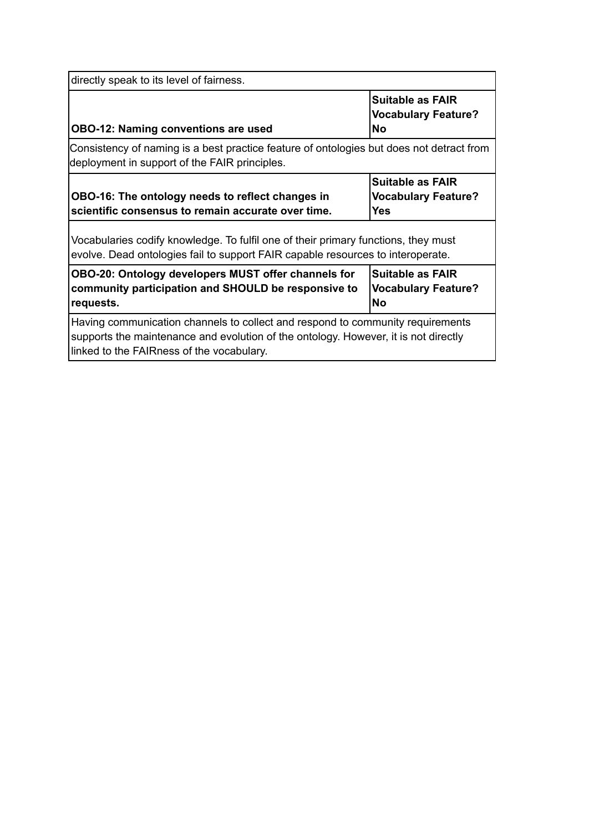| directly speak to its level of fairness.                                                                                                                                                                           |  |  |  |  |  |
|--------------------------------------------------------------------------------------------------------------------------------------------------------------------------------------------------------------------|--|--|--|--|--|
| <b>Suitable as FAIR</b><br><b>Vocabulary Feature?</b><br><b>OBO-12: Naming conventions are used</b><br><b>No</b>                                                                                                   |  |  |  |  |  |
| Consistency of naming is a best practice feature of ontologies but does not detract from<br>deployment in support of the FAIR principles.                                                                          |  |  |  |  |  |
| <b>Suitable as FAIR</b><br>OBO-16: The ontology needs to reflect changes in<br><b>Vocabulary Feature?</b><br>scientific consensus to remain accurate over time.<br><b>Yes</b>                                      |  |  |  |  |  |
| Vocabularies codify knowledge. To fulfil one of their primary functions, they must<br>evolve. Dead ontologies fail to support FAIR capable resources to interoperate.                                              |  |  |  |  |  |
| OBO-20: Ontology developers MUST offer channels for<br><b>Suitable as FAIR</b><br>community participation and SHOULD be responsive to<br><b>Vocabulary Feature?</b><br><b>No</b><br>requests.                      |  |  |  |  |  |
| Having communication channels to collect and respond to community requirements<br>supports the maintenance and evolution of the ontology. However, it is not directly<br>linked to the FAIRness of the vocabulary. |  |  |  |  |  |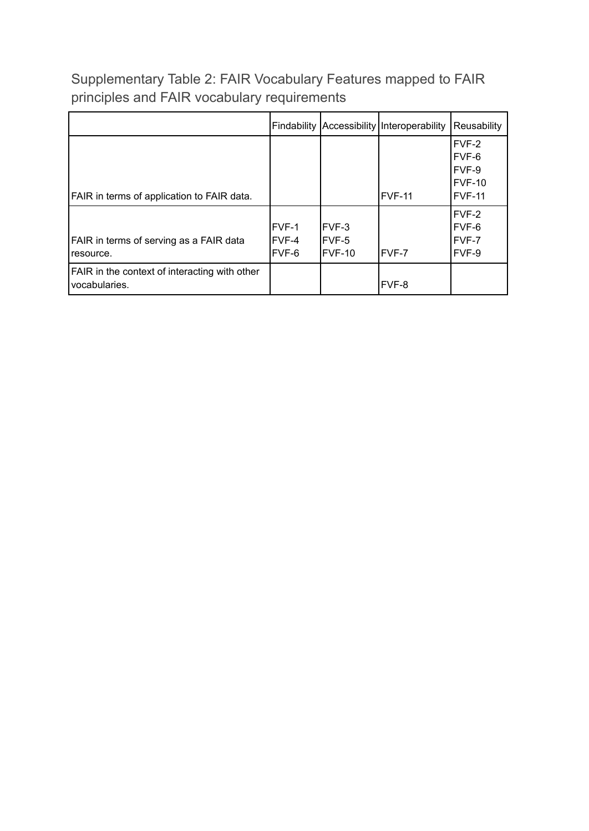Supplementary Table 2: FAIR Vocabulary Features mapped to FAIR principles and FAIR vocabulary requirements

|                                                                         |                         |                             | Findability Accessibility Interoperability | Reusability                                          |
|-------------------------------------------------------------------------|-------------------------|-----------------------------|--------------------------------------------|------------------------------------------------------|
| FAIR in terms of application to FAIR data.                              |                         |                             | FVF-11                                     | FVF-2<br>FVF-6<br>FVF-9<br>$FVF-10$<br><b>FVF-11</b> |
| FAIR in terms of serving as a FAIR data<br>I resource.                  | FVF-1<br>FVF-4<br>FVF-6 | IFVF-3<br>IFVF-5<br>IFVF-10 | FVF-7                                      | FVF-2<br>FVF-6<br>FVF-7<br>FVF-9                     |
| <b>FAIR</b> in the context of interacting with other<br>l vocabularies. |                         |                             | FVF-8                                      |                                                      |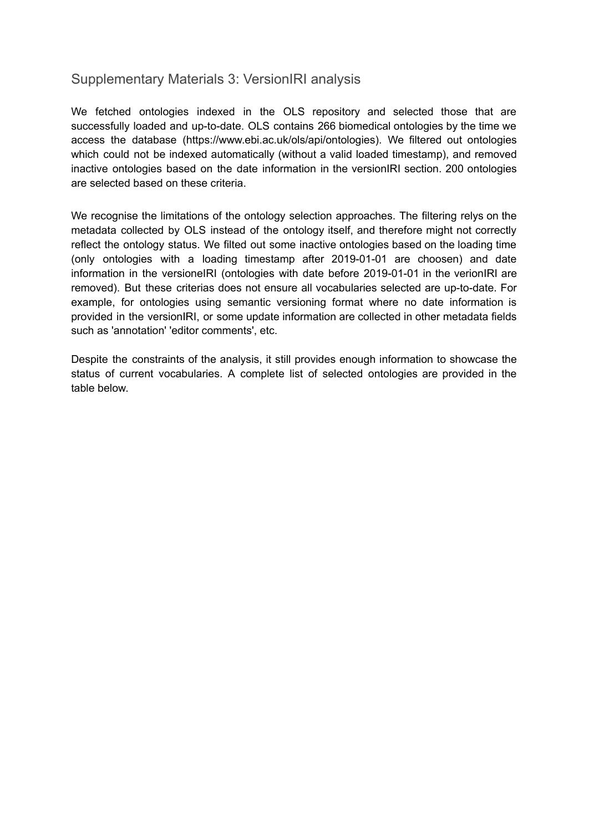## Supplementary Materials 3: VersionIRI analysis

We fetched ontologies indexed in the OLS repository and selected those that are successfully loaded and up-to-date. OLS contains 266 biomedical ontologies by the time we access the database (https://www.ebi.ac.uk/ols/api/ontologies). We filtered out ontologies which could not be indexed automatically (without a valid loaded timestamp), and removed inactive ontologies based on the date information in the versionIRI section. 200 ontologies are selected based on these criteria.

We recognise the limitations of the ontology selection approaches. The filtering relys on the metadata collected by OLS instead of the ontology itself, and therefore might not correctly reflect the ontology status. We filted out some inactive ontologies based on the loading time (only ontologies with a loading timestamp after 2019-01-01 are choosen) and date information in the versioneIRI (ontologies with date before 2019-01-01 in the verionIRI are removed). But these criterias does not ensure all vocabularies selected are up-to-date. For example, for ontologies using semantic versioning format where no date information is provided in the versionIRI, or some update information are collected in other metadata fields such as 'annotation' 'editor comments', etc.

Despite the constraints of the analysis, it still provides enough information to showcase the status of current vocabularies. A complete list of selected ontologies are provided in the table below.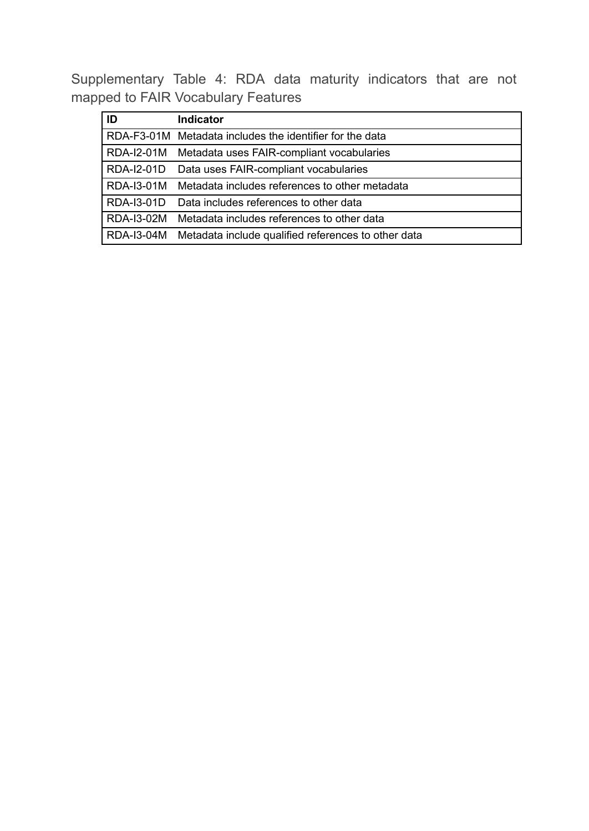Supplementary Table 4: RDA data maturity indicators that are not mapped to FAIR Vocabulary Features

| ID         | <b>Indicator</b>                                         |
|------------|----------------------------------------------------------|
|            | RDA-F3-01M Metadata includes the identifier for the data |
| RDA-I2-01M | Metadata uses FAIR-compliant vocabularies                |
| RDA-I2-01D | Data uses FAIR-compliant vocabularies                    |
| RDA-13-01M | Metadata includes references to other metadata           |
| RDA-13-01D | Data includes references to other data                   |
| RDA-13-02M | Metadata includes references to other data               |
| RDA-13-04M | Metadata include qualified references to other data      |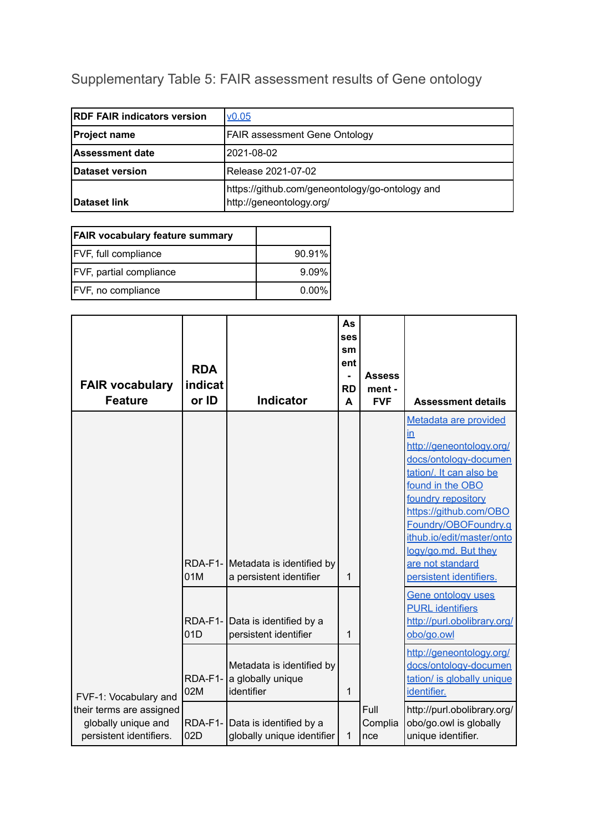# Supplementary Table 5: FAIR assessment results of Gene ontology

| <b>IRDF FAIR indicators version</b> | V <sub>0.05</sub>                                                           |
|-------------------------------------|-----------------------------------------------------------------------------|
| <b>Project name</b>                 | <b>FAIR assessment Gene Ontology</b>                                        |
| <b>Assessment date</b>              | l2021-08-02                                                                 |
| Dataset version                     | Release 2021-07-02                                                          |
| <b>IDataset link</b>                | https://github.com/geneontology/go-ontology and<br>http://geneontology.org/ |

| <b>FAIR vocabulary feature summary</b> |          |
|----------------------------------------|----------|
| <b>FVF, full compliance</b>            | 90.91%   |
| <b>FVF, partial compliance</b>         | $9.09\%$ |
| FVF, no compliance                     | $0.00\%$ |

| <b>FAIR vocabulary</b><br><b>Feature</b>                                                            | <b>RDA</b><br>indicat<br>or ID | <b>Indicator</b>                                                                                           | As<br><b>ses</b><br>sm<br>ent<br><b>RD</b><br>A | <b>Assess</b><br>ment -<br><b>FVF</b> | <b>Assessment details</b>                                                                                                                                                                                                                                                                                               |
|-----------------------------------------------------------------------------------------------------|--------------------------------|------------------------------------------------------------------------------------------------------------|-------------------------------------------------|---------------------------------------|-------------------------------------------------------------------------------------------------------------------------------------------------------------------------------------------------------------------------------------------------------------------------------------------------------------------------|
|                                                                                                     | 01M                            | RDA-F1- Metadata is identified by<br>a persistent identifier                                               | 1                                               |                                       | Metadata are provided<br>$\overline{m}$<br>http://geneontology.org/<br>docs/ontology-documen<br>tation/. It can also be<br>found in the OBO<br>foundry repository<br>https://github.com/OBO<br>Foundry/OBOFoundry.g<br>ithub.io/edit/master/onto<br>logy/go.md. But they<br>are not standard<br>persistent identifiers. |
|                                                                                                     | 01D<br>RDA-F1-                 | RDA-F1- Data is identified by a<br>persistent identifier<br>Metadata is identified by<br>a globally unique | 1                                               |                                       | <b>Gene ontology uses</b><br><b>PURL</b> identifiers<br>http://purl.obolibrary.org/<br>obo/go.owl<br>http://geneontology.org/<br>docs/ontology-documen<br>tation/ is globally unique                                                                                                                                    |
| FVF-1: Vocabulary and<br>their terms are assigned<br>globally unique and<br>persistent identifiers. | 02M<br>$RDA-F1-$<br>02D        | identifier<br>Data is identified by a<br>globally unique identifier                                        | 1<br>1                                          | Full<br>Complia<br>nce                | identifier.<br>http://purl.obolibrary.org/<br>obo/go.owl is globally<br>unique identifier.                                                                                                                                                                                                                              |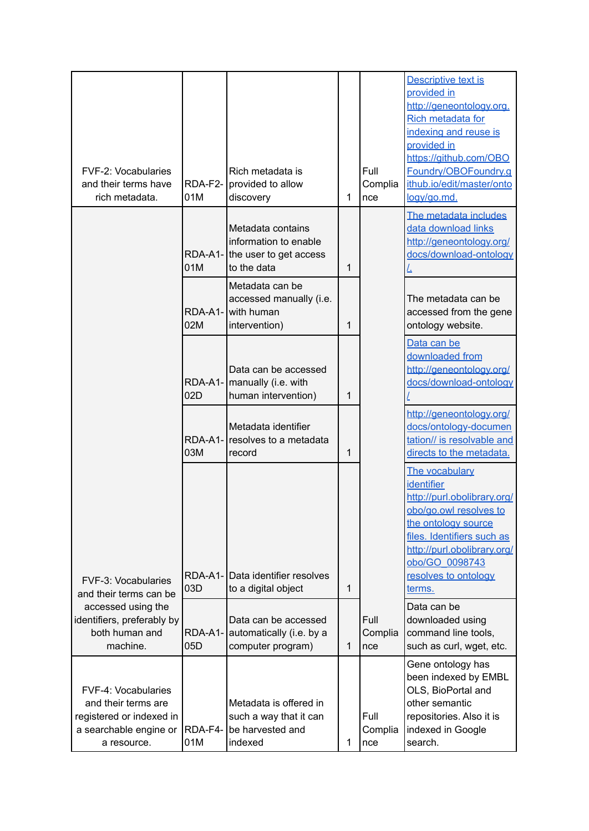| FVF-2: Vocabularies<br>and their terms have<br>rich metadata.                                                          | RDA-F2-<br>01M | Rich metadata is<br>provided to allow<br>discovery                                                                                                                               | 1      | Full<br>Complia<br>nce | Descriptive text is<br>provided in<br>http://geneontology.org.<br>Rich metadata for<br>indexing and reuse is<br>provided in<br>https://github.com/OBO<br>Foundry/OBOFoundry.g<br>ithub.io/edit/master/onto<br>logy/go.md. |
|------------------------------------------------------------------------------------------------------------------------|----------------|----------------------------------------------------------------------------------------------------------------------------------------------------------------------------------|--------|------------------------|---------------------------------------------------------------------------------------------------------------------------------------------------------------------------------------------------------------------------|
|                                                                                                                        | 01M<br>02M     | Metadata contains<br>information to enable<br>RDA-A1- the user to get access<br>to the data<br>Metadata can be<br>accessed manually (i.e.<br>RDA-A1- with human<br>intervention) | 1<br>1 |                        | The metadata includes<br>data download links<br>http://geneontology.org/<br>docs/download-ontology<br>The metadata can be<br>accessed from the gene<br>ontology website.                                                  |
|                                                                                                                        | 02D            | Data can be accessed<br>RDA-A1-   manually (i.e. with<br>human intervention)<br>Metadata identifier                                                                              | 1      |                        | Data can be<br>downloaded from<br>http://geneontology.org/<br>docs/download-ontology<br>http://geneontology.org/<br>docs/ontology-documen                                                                                 |
|                                                                                                                        | 03M            | RDA-A1- resolves to a metadata<br>record                                                                                                                                         | 1      |                        | tation// is resolvable and<br>directs to the metadata.<br>The vocabulary<br>identifier<br>http://purl.obolibrary.org/                                                                                                     |
| <b>FVF-3: Vocabularies</b><br>and their terms can be                                                                   | 03D            | RDA-A1- Data identifier resolves<br>to a digital object                                                                                                                          | 1      |                        | obo/go.owl resolves to<br>the ontology source<br>files. Identifiers such as<br>http://purl.obolibrary.org/<br>obo/GO 0098743<br>resolves to ontology<br>terms.                                                            |
| accessed using the<br>identifiers, preferably by<br>both human and<br>machine.                                         | 05D            | Data can be accessed<br>RDA-A1- automatically (i.e. by a<br>computer program)                                                                                                    | 1      | Full<br>Complia<br>nce | Data can be<br>downloaded using<br>command line tools,<br>such as curl, wget, etc.                                                                                                                                        |
| <b>FVF-4: Vocabularies</b><br>and their terms are<br>registered or indexed in<br>a searchable engine or<br>a resource. | RDA-F4-<br>01M | Metadata is offered in<br>such a way that it can<br>be harvested and<br>indexed                                                                                                  | 1      | Full<br>Complia<br>nce | Gene ontology has<br>been indexed by EMBL<br>OLS, BioPortal and<br>other semantic<br>repositories. Also it is<br>indexed in Google<br>search.                                                                             |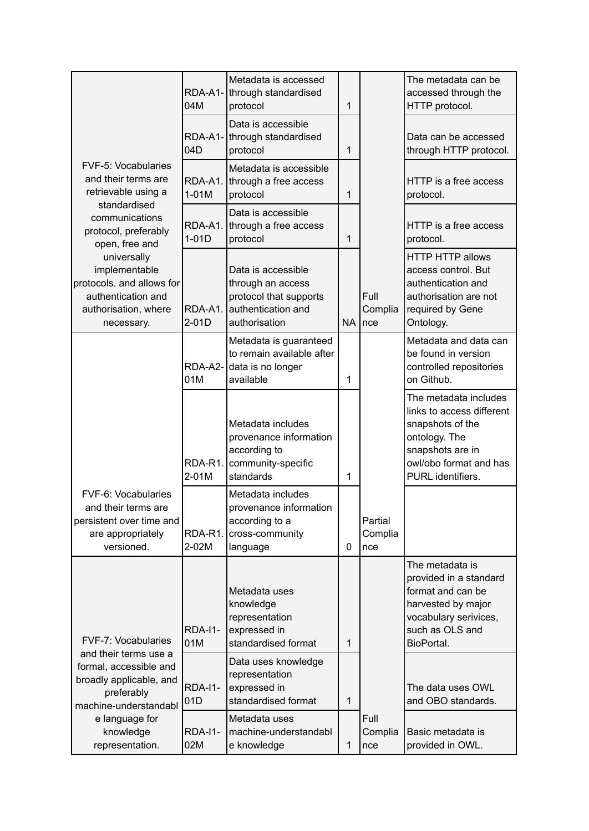|                                                                                                                       | 04M                   | Metadata is accessed<br>RDA-A1- through standardised<br>protocol                                         | 1           |                           | The metadata can be<br>accessed through the<br>HTTP protocol.                                                                                              |
|-----------------------------------------------------------------------------------------------------------------------|-----------------------|----------------------------------------------------------------------------------------------------------|-------------|---------------------------|------------------------------------------------------------------------------------------------------------------------------------------------------------|
|                                                                                                                       | RDA-A1-<br>04D        | Data is accessible<br>through standardised<br>protocol                                                   | 1           |                           | Data can be accessed<br>through HTTP protocol.                                                                                                             |
| <b>FVF-5: Vocabularies</b><br>and their terms are<br>retrievable using a                                              | $1-01M$               | Metadata is accessible<br>RDA-A1. through a free access<br>protocol                                      | 1           |                           | HTTP is a free access<br>protocol.                                                                                                                         |
| standardised<br>communications<br>protocol, preferably<br>open, free and                                              | RDA-A1.<br>$1-01D$    | Data is accessible<br>through a free access<br>protocol                                                  | 1           |                           | HTTP is a free access<br>protocol.                                                                                                                         |
| universally<br>implementable<br>protocols. and allows for<br>authentication and<br>authorisation, where<br>necessary. | RDA-A1.<br>$2-01D$    | Data is accessible<br>through an access<br>protocol that supports<br>authentication and<br>authorisation | <b>NA</b>   | Full<br>Complia<br>Ince   | <b>HTTP HTTP allows</b><br>access control. But<br>authentication and<br>authorisation are not<br>required by Gene<br>Ontology.                             |
|                                                                                                                       | RDA-A2-<br>01M        | Metadata is guaranteed<br>to remain available after<br>data is no longer<br>available                    | 1           |                           | Metadata and data can<br>be found in version<br>controlled repositories<br>on Github.                                                                      |
|                                                                                                                       | RDA-R1.<br>2-01M      | Metadata includes<br>provenance information<br>according to<br>community-specific<br>standards           | 1           |                           | The metadata includes<br>links to access different<br>snapshots of the<br>ontology. The<br>snapshots are in<br>owl/obo format and has<br>PURL identifiers. |
| FVF-6: Vocabularies<br>and their terms are<br>persistent over time and<br>are appropriately<br>versioned.             | RDA-R1.<br>2-02M      | Metadata includes<br>provenance information<br>according to a<br>cross-community<br>language             | $\mathbf 0$ | Partial<br>Complia<br>nce |                                                                                                                                                            |
| <b>FVF-7: Vocabularies</b>                                                                                            | <b>RDA-I1-</b><br>01M | Metadata uses<br>knowledge<br>representation<br>expressed in<br>standardised format                      | 1           |                           | The metadata is<br>provided in a standard<br>format and can be<br>harvested by major<br>vocabulary serivices,<br>such as OLS and<br>BioPortal.             |
| and their terms use a<br>formal, accessible and<br>broadly applicable, and<br>preferably<br>machine-understandabl     | <b>RDA-I1-</b><br>01D | Data uses knowledge<br>representation<br>expressed in<br>standardised format                             | 1           |                           | The data uses OWL<br>and OBO standards.                                                                                                                    |
| e language for<br>knowledge<br>representation.                                                                        | RDA-I1-<br>02M        | Metadata uses<br>machine-understandabl<br>e knowledge                                                    | 1           | Full<br>Complia<br>nce    | Basic metadata is<br>provided in OWL.                                                                                                                      |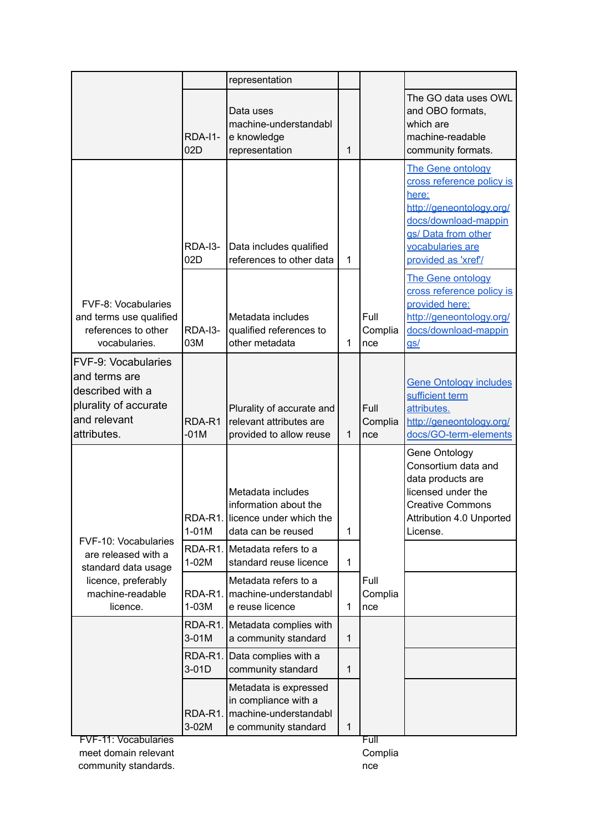|                                                                                                                         |                       | representation                                                                                      |              |                        |                                                                                                                                                                               |
|-------------------------------------------------------------------------------------------------------------------------|-----------------------|-----------------------------------------------------------------------------------------------------|--------------|------------------------|-------------------------------------------------------------------------------------------------------------------------------------------------------------------------------|
|                                                                                                                         | <b>RDA-I1-</b><br>02D | Data uses<br>machine-understandabl<br>e knowledge<br>representation                                 | 1            |                        | The GO data uses OWL<br>and OBO formats,<br>which are<br>machine-readable<br>community formats.                                                                               |
|                                                                                                                         | <b>RDA-13-</b><br>02D | Data includes qualified<br>references to other data                                                 | 1            |                        | The Gene ontology<br>cross reference policy is<br>here:<br>http://geneontology.org/<br>docs/download-mappin<br>gs/ Data from other<br>vocabularies are<br>provided as 'xref'/ |
| FVF-8: Vocabularies<br>and terms use qualified<br>references to other<br>vocabularies.                                  | RDA-I3-<br>03M        | Metadata includes<br>qualified references to<br>other metadata                                      | 1            | Full<br>Complia<br>nce | The Gene ontology<br>cross reference policy is<br>provided here:<br>http://geneontology.org/<br>docs/download-mappin<br>$g_{S}$ /                                             |
| <b>FVF-9: Vocabularies</b><br>and terms are<br>described with a<br>plurality of accurate<br>and relevant<br>attributes. | RDA-R1<br>$-01M$      | Plurality of accurate and<br>relevant attributes are<br>provided to allow reuse                     | 1            | Full<br>Complia<br>nce | <b>Gene Ontology includes</b><br>sufficient term<br>attributes.<br>http://geneontology.org/<br>docs/GO-term-elements                                                          |
| FVF-10: Vocabularies                                                                                                    | $1-01M$               | Metadata includes<br>information about the<br>RDA-R1. licence under which the<br>data can be reused | 1            |                        | Gene Ontology<br>Consortium data and<br>data products are<br>licensed under the<br><b>Creative Commons</b><br>Attribution 4.0 Unported<br>License.                            |
| are released with a<br>standard data usage<br>licence, preferably                                                       | $1-02M$               | RDA-R1. Metadata refers to a<br>standard reuse licence<br>Metadata refers to a                      | $\mathbf 1$  | Full                   |                                                                                                                                                                               |
| machine-readable<br>licence.                                                                                            | RDA-R1.<br>$1-03M$    | machine-understandabl<br>e reuse licence                                                            | 1            | Complia<br>nce         |                                                                                                                                                                               |
|                                                                                                                         | $3-01M$               | RDA-R1. Metadata complies with<br>a community standard                                              | $\mathbf{1}$ |                        |                                                                                                                                                                               |
|                                                                                                                         | RDA-R1.<br>3-01D      | Data complies with a<br>community standard                                                          | 1            |                        |                                                                                                                                                                               |
|                                                                                                                         | RDA-R1.<br>3-02M      | Metadata is expressed<br>in compliance with a<br>machine-understandabl<br>e community standard      | $\mathbf{1}$ |                        |                                                                                                                                                                               |

FVF-11: Vocabularies meet domain relevant community standards. Full Complia nce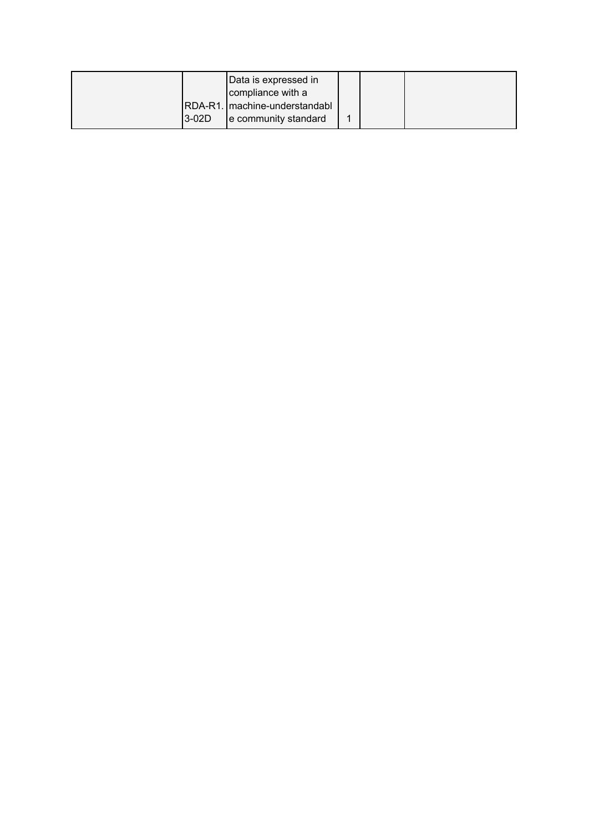|        | Data is expressed in<br>compliance with a               |  |  |
|--------|---------------------------------------------------------|--|--|
| 13-02D | RDA-R1.   machine-understandabl<br>e community standard |  |  |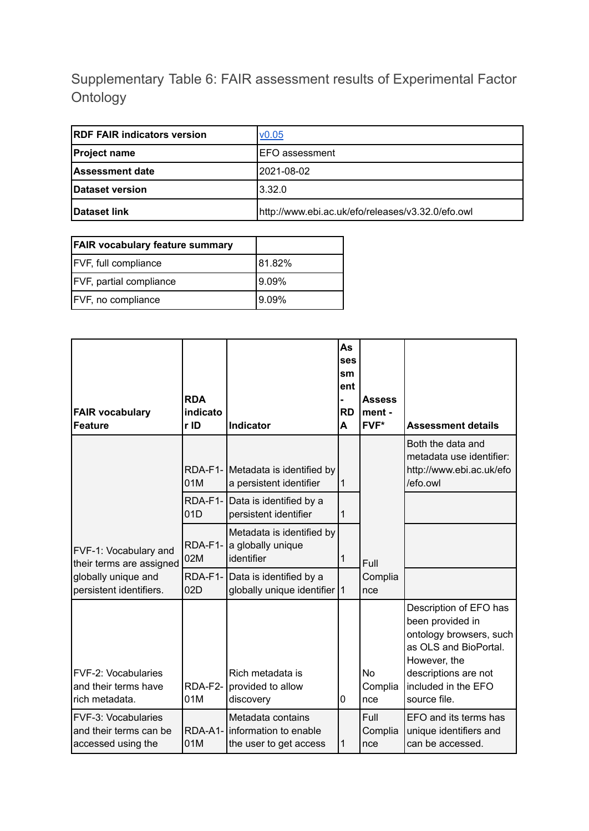## Supplementary Table 6: FAIR assessment results of Experimental Factor Ontology

| <b>RDF FAIR indicators version</b> | $\mathsf{v}0.05$                                  |
|------------------------------------|---------------------------------------------------|
| <b>Project name</b>                | IEFO assessment                                   |
| Assessment date                    | 2021-08-02                                        |
| Dataset version                    | 3.32.0                                            |
| <b>Dataset link</b>                | http://www.ebi.ac.uk/efo/releases/v3.32.0/efo.owl |

| <b>FAIR vocabulary feature summary</b> |        |
|----------------------------------------|--------|
| <b>FVF, full compliance</b>            | 81.82% |
| <b>FVF, partial compliance</b>         | 19.09% |
| <b>FVF, no compliance</b>              | 9.09%  |

| <b>FAIR vocabulary</b><br><b>Feature</b>                            | <b>RDA</b><br>indicato<br>r ID | <b>Indicator</b>                                                     | As<br>ses<br>sm<br>ent<br><b>RD</b><br>A | <b>Assess</b><br>ment -<br>FVF* | <b>Assessment details</b>                                                                                                                                                     |
|---------------------------------------------------------------------|--------------------------------|----------------------------------------------------------------------|------------------------------------------|---------------------------------|-------------------------------------------------------------------------------------------------------------------------------------------------------------------------------|
|                                                                     | 01M                            | RDA-F1- Metadata is identified by<br>a persistent identifier         | $\vert$ 1                                |                                 | Both the data and<br>metadata use identifier:<br>http://www.ebi.ac.uk/efo<br>/efo.owl                                                                                         |
|                                                                     | RDA-F1-<br>01D                 | Data is identified by a<br>persistent identifier                     | $\mathbf 1$                              |                                 |                                                                                                                                                                               |
| FVF-1: Vocabulary and<br>their terms are assigned                   | RDA-F1-<br>02M                 | Metadata is identified by<br>a globally unique<br>identifier         | 1                                        | Full                            |                                                                                                                                                                               |
| globally unique and<br>persistent identifiers.                      | 02D                            | RDA-F1- Data is identified by a<br>globally unique identifier 1      |                                          | Complia<br>nce                  |                                                                                                                                                                               |
| FVF-2: Vocabularies<br>and their terms have<br>rich metadata.       | RDA-F2-<br>01M                 | Rich metadata is<br>provided to allow<br>discovery                   | 0                                        | <b>No</b><br>Complia<br>nce     | Description of EFO has<br>been provided in<br>ontology browsers, such<br>as OLS and BioPortal.<br>However, the<br>descriptions are not<br>included in the EFO<br>source file. |
| FVF-3: Vocabularies<br>and their terms can be<br>accessed using the | RDA-A1-<br>01M                 | Metadata contains<br>information to enable<br>the user to get access | $\mathbf{1}$                             | Full<br>Complia<br>nce          | EFO and its terms has<br>unique identifiers and<br>can be accessed.                                                                                                           |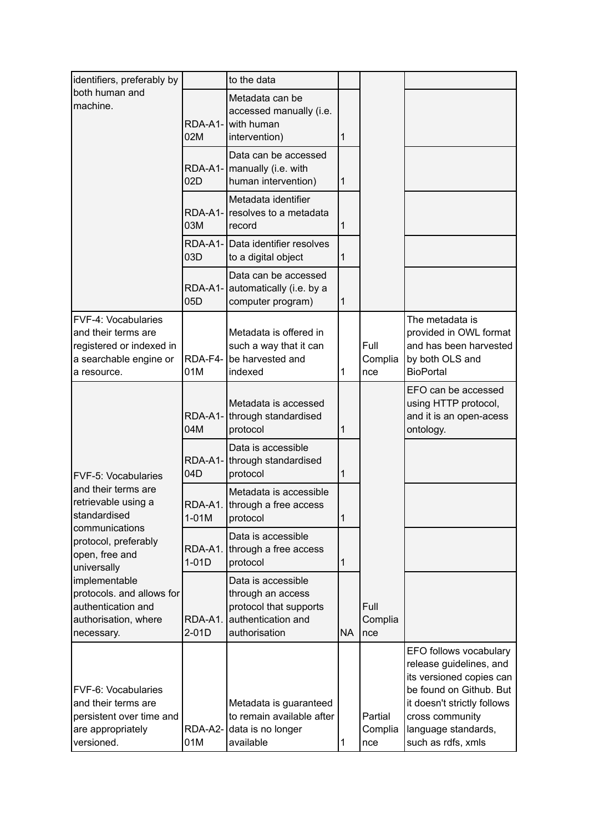| identifiers, preferably by                                                                                      |                    | to the data                                                                                              |                |                           |                                                                                                                                                                                                         |
|-----------------------------------------------------------------------------------------------------------------|--------------------|----------------------------------------------------------------------------------------------------------|----------------|---------------------------|---------------------------------------------------------------------------------------------------------------------------------------------------------------------------------------------------------|
| both human and<br>machine.                                                                                      | RDA-A1-<br>02M     | Metadata can be<br>accessed manually (i.e.<br>with human<br>intervention)                                | $\mathbf{1}$   |                           |                                                                                                                                                                                                         |
|                                                                                                                 | 02D                | Data can be accessed<br>RDA-A1-   manually (i.e. with<br>human intervention)                             | $\mathbf{1}$   |                           |                                                                                                                                                                                                         |
|                                                                                                                 | 03M                | Metadata identifier<br>RDA-A1- resolves to a metadata<br>record                                          | 1              |                           |                                                                                                                                                                                                         |
|                                                                                                                 | 03D                | RDA-A1- Data identifier resolves<br>to a digital object                                                  | $\mathbf{1}$   |                           |                                                                                                                                                                                                         |
|                                                                                                                 | 05D                | Data can be accessed<br>RDA-A1- automatically (i.e. by a<br>computer program)                            | $\overline{1}$ |                           |                                                                                                                                                                                                         |
| FVF-4: Vocabularies<br>and their terms are<br>registered or indexed in<br>a searchable engine or<br>a resource. | 01M                | Metadata is offered in<br>such a way that it can<br>RDA-F4- be harvested and<br>indexed                  | 1              | Full<br>Complia<br>nce    | The metadata is<br>provided in OWL format<br>and has been harvested<br>by both OLS and<br><b>BioPortal</b>                                                                                              |
|                                                                                                                 | 04M                | Metadata is accessed<br>RDA-A1- through standardised<br>protocol                                         | 1              |                           | EFO can be accessed<br>using HTTP protocol,<br>and it is an open-acess<br>ontology.                                                                                                                     |
| <b>FVF-5: Vocabularies</b>                                                                                      | 04D                | Data is accessible<br>RDA-A1- through standardised<br>protocol                                           | $\mathbf{1}$   |                           |                                                                                                                                                                                                         |
| and their terms are<br>retrievable using a<br>standardised                                                      | $1-01M$            | Metadata is accessible<br>RDA-A1. through a free access<br>protocol                                      | 1              |                           |                                                                                                                                                                                                         |
| communications<br>protocol, preferably<br>open, free and<br>universally                                         | RDA-A1.<br>$1-01D$ | Data is accessible<br>through a free access<br>protocol                                                  | $\mathbf{1}$   |                           |                                                                                                                                                                                                         |
| implementable<br>protocols. and allows for<br>authentication and<br>authorisation, where<br>necessary.          | RDA-A1.<br>$2-01D$ | Data is accessible<br>through an access<br>protocol that supports<br>authentication and<br>authorisation | <b>NA</b>      | Full<br>Complia<br>nce    |                                                                                                                                                                                                         |
| FVF-6: Vocabularies<br>and their terms are<br>persistent over time and<br>are appropriately<br>versioned.       | RDA-A2-<br>01M     | Metadata is guaranteed<br>to remain available after<br>data is no longer<br>available                    | $\mathbf{1}$   | Partial<br>Complia<br>nce | EFO follows vocabulary<br>release guidelines, and<br>its versioned copies can<br>be found on Github. But<br>it doesn't strictly follows<br>cross community<br>language standards,<br>such as rdfs, xmls |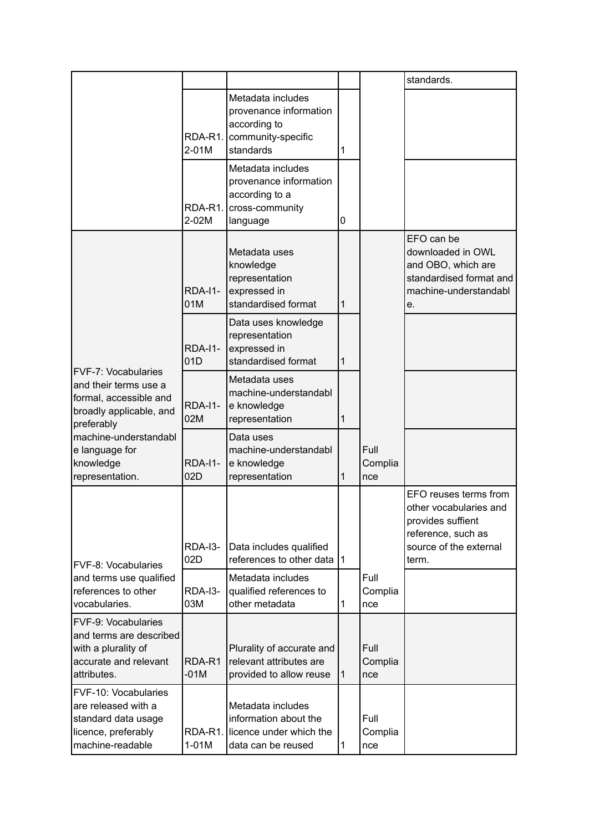|                                                                                                                        |                       |                                                                                                     |              |                        | standards.                                                                                                                    |
|------------------------------------------------------------------------------------------------------------------------|-----------------------|-----------------------------------------------------------------------------------------------------|--------------|------------------------|-------------------------------------------------------------------------------------------------------------------------------|
|                                                                                                                        | RDA-R1.<br>2-01M      | Metadata includes<br>provenance information<br>according to<br>community-specific<br>standards      | 1            |                        |                                                                                                                               |
|                                                                                                                        | RDA-R1.<br>2-02M      | Metadata includes<br>provenance information<br>according to a<br>cross-community<br>language        | 0            |                        |                                                                                                                               |
|                                                                                                                        | <b>RDA-I1-</b><br>01M | Metadata uses<br>knowledge<br>representation<br>expressed in<br>standardised format                 | 1            |                        | EFO can be<br>downloaded in OWL<br>and OBO, which are<br>standardised format and<br>machine-understandabl<br>e.               |
|                                                                                                                        | <b>RDA-I1-</b><br>01D | Data uses knowledge<br>representation<br>expressed in<br>standardised format                        | 1            |                        |                                                                                                                               |
| <b>FVF-7: Vocabularies</b><br>and their terms use a<br>formal, accessible and<br>broadly applicable, and<br>preferably | <b>RDA-I1-</b><br>02M | Metadata uses<br>machine-understandabl<br>e knowledge<br>representation                             | 1            |                        |                                                                                                                               |
| machine-understandabl<br>e language for<br>knowledge<br>representation.                                                | <b>RDA-I1-</b><br>02D | Data uses<br>machine-understandabl<br>e knowledge<br>representation                                 | 1            | Full<br>Complia<br>nce |                                                                                                                               |
| <b>IFVF-8: Vocabularies</b>                                                                                            | RDA-I3-<br>02D        | Data includes qualified<br>references to other data                                                 | l1.          |                        | EFO reuses terms from<br>other vocabularies and<br>provides suffient<br>reference, such as<br>source of the external<br>term. |
| and terms use qualified<br>references to other<br>vocabularies.                                                        | RDA-I3-<br>03M        | Metadata includes<br>qualified references to<br>other metadata                                      | 1            | Full<br>Complia<br>nce |                                                                                                                               |
| <b>FVF-9: Vocabularies</b><br>and terms are described<br>with a plurality of<br>accurate and relevant<br>attributes.   | RDA-R1<br>$-01M$      | Plurality of accurate and<br>relevant attributes are<br>provided to allow reuse                     | $\mathbf{1}$ | Full<br>Complia<br>nce |                                                                                                                               |
| <b>FVF-10: Vocabularies</b><br>are released with a<br>standard data usage<br>licence, preferably<br>machine-readable   | $1-01M$               | Metadata includes<br>information about the<br>RDA-R1. licence under which the<br>data can be reused | 1            | Full<br>Complia<br>nce |                                                                                                                               |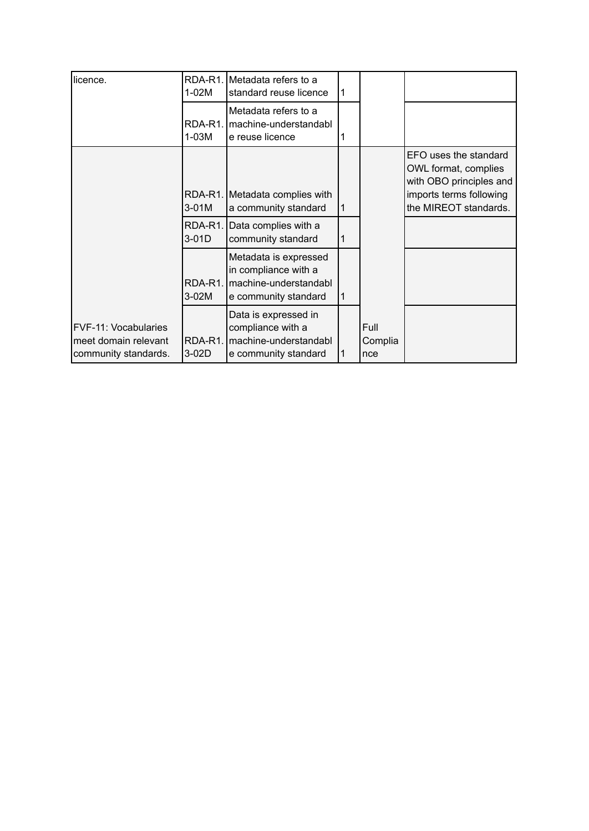| licence.                                                             | 1-02M              | RDA-R1. Metadata refers to a<br>standard reuse licence                                         | l 1       |                        |                                                                                                                              |
|----------------------------------------------------------------------|--------------------|------------------------------------------------------------------------------------------------|-----------|------------------------|------------------------------------------------------------------------------------------------------------------------------|
|                                                                      | RDA-R1.<br>$1-03M$ | Metadata refers to a<br>machine-understandabl<br>e reuse licence                               | 1         |                        |                                                                                                                              |
|                                                                      | 3-01M              | RDA-R1. Metadata complies with<br>a community standard                                         | 1         |                        | EFO uses the standard<br>OWL format, complies<br>with OBO principles and<br>imports terms following<br>the MIREOT standards. |
|                                                                      | RDA-R1.<br>3-01D   | Data complies with a<br>community standard                                                     | 1         |                        |                                                                                                                              |
|                                                                      | RDA-R1.<br>3-02M   | Metadata is expressed<br>in compliance with a<br>machine-understandabl<br>e community standard | $\vert$ 1 |                        |                                                                                                                              |
| FVF-11: Vocabularies<br>meet domain relevant<br>community standards. | RDA-R1.<br>$3-02D$ | Data is expressed in<br>compliance with a<br>machine-understandabl<br>e community standard     |           | Full<br>Complia<br>nce |                                                                                                                              |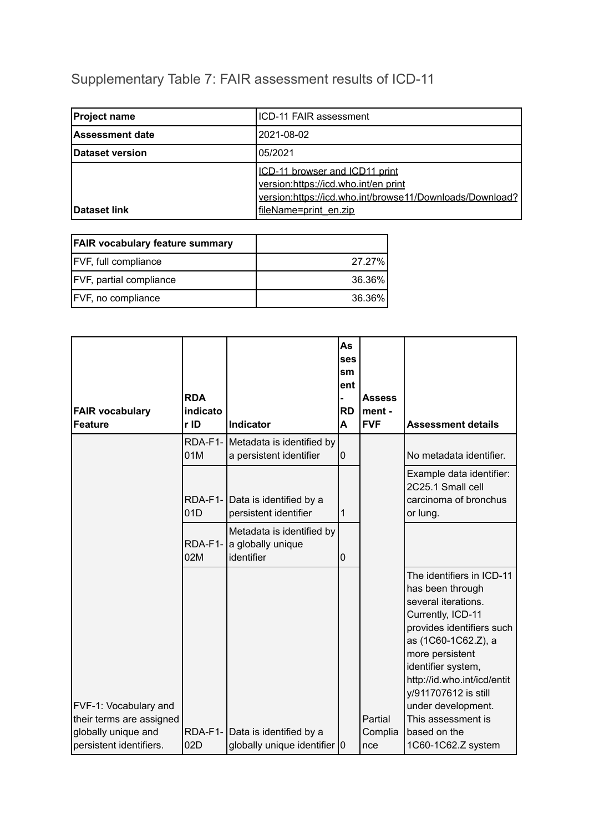# Supplementary Table 7: FAIR assessment results of ICD-11

| <b>Project name</b>    | ICD-11 FAIR assessment                                                                                                             |
|------------------------|------------------------------------------------------------------------------------------------------------------------------------|
| <b>Assessment date</b> | 2021-08-02                                                                                                                         |
| Dataset version        | 05/2021                                                                                                                            |
|                        | ICD-11 browser and ICD11 print<br>version:https://icd.who.int/en print<br>version:https://icd.who.int/browse11/Downloads/Download? |
| Dataset link           | fileName=print en.zip                                                                                                              |

| <b>FAIR vocabulary feature summary</b> |        |
|----------------------------------------|--------|
| <b>FVF, full compliance</b>            | 27.27% |
| <b>FVF, partial compliance</b>         | 36.36% |
| <b>FVF, no compliance</b>              | 36.36% |

| <b>FAIR vocabulary</b><br><b>Feature</b>                                   | <b>RDA</b><br>indicato<br>r ID | <b>Indicator</b>                                                | As<br>ses<br>sm<br>ent<br><b>RD</b><br>A | <b>Assess</b><br>ment -<br><b>FVF</b> | <b>Assessment details</b>                                                                                                                                                                                                                                           |
|----------------------------------------------------------------------------|--------------------------------|-----------------------------------------------------------------|------------------------------------------|---------------------------------------|---------------------------------------------------------------------------------------------------------------------------------------------------------------------------------------------------------------------------------------------------------------------|
|                                                                            | 01M                            | RDA-F1- Metadata is identified by<br>a persistent identifier    | $\pmb{0}$                                |                                       | No metadata identifier.                                                                                                                                                                                                                                             |
|                                                                            | 01D                            | RDA-F1- Data is identified by a<br>persistent identifier        | 1                                        |                                       | Example data identifier:<br>2C25.1 Small cell<br>carcinoma of bronchus<br>or lung.                                                                                                                                                                                  |
|                                                                            | RDA-F1-<br>02M                 | Metadata is identified by<br>a globally unique<br>identifier    | $\mathbf 0$                              |                                       |                                                                                                                                                                                                                                                                     |
| FVF-1: Vocabulary and                                                      |                                |                                                                 |                                          |                                       | The identifiers in ICD-11<br>has been through<br>several iterations.<br>Currently, ICD-11<br>provides identifiers such<br>as (1C60-1C62.Z), a<br>more persistent<br>identifier system,<br>http://id.who.int/icd/entit<br>y/911707612 is still<br>under development. |
| their terms are assigned<br>globally unique and<br>persistent identifiers. | 02D                            | RDA-F1- Data is identified by a<br>globally unique identifier 0 |                                          | Partial<br>Complia<br>nce             | This assessment is<br>based on the<br>1C60-1C62.Z system                                                                                                                                                                                                            |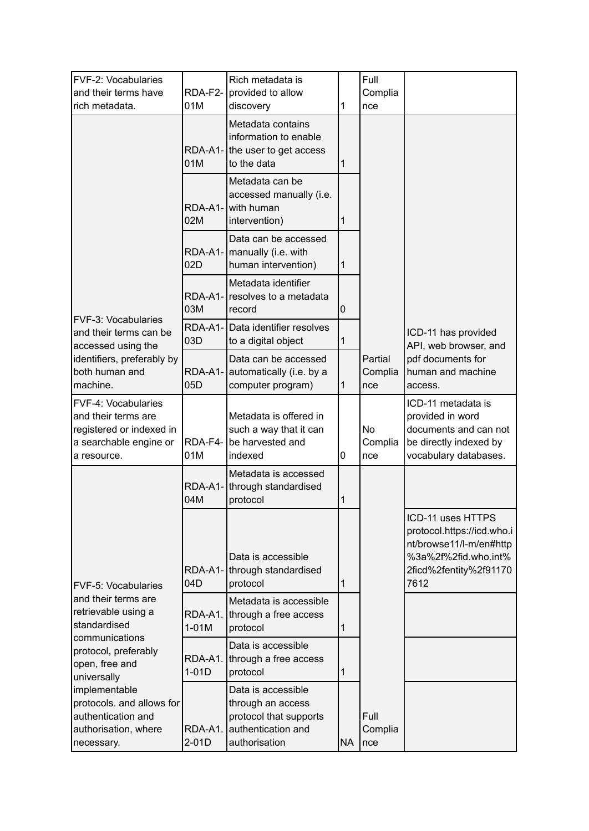| FVF-2: Vocabularies<br>and their terms have<br>rich metadata.                                                                                                                                                                                                                 | RDA-F2-<br>01M             | Rich metadata is<br>provided to allow<br>discovery                                                       | 1            | Full<br>Complia<br>nce      |                                                                                                                                      |
|-------------------------------------------------------------------------------------------------------------------------------------------------------------------------------------------------------------------------------------------------------------------------------|----------------------------|----------------------------------------------------------------------------------------------------------|--------------|-----------------------------|--------------------------------------------------------------------------------------------------------------------------------------|
|                                                                                                                                                                                                                                                                               | 01M                        | Metadata contains<br>information to enable<br>RDA-A1- the user to get access<br>to the data              | $\mathbf{1}$ |                             |                                                                                                                                      |
|                                                                                                                                                                                                                                                                               | RDA-A1-<br>02M             | Metadata can be<br>accessed manually (i.e.<br>with human<br>intervention)                                | 1            |                             |                                                                                                                                      |
|                                                                                                                                                                                                                                                                               | 02D                        | Data can be accessed<br>RDA-A1-   manually (i.e. with<br>human intervention)                             | 1            |                             |                                                                                                                                      |
| FVF-3: Vocabularies<br>and their terms can be<br>accessed using the                                                                                                                                                                                                           | RDA-A1-<br>03M             | Metadata identifier<br>resolves to a metadata<br>record                                                  | 0            |                             | ICD-11 has provided<br>API, web browser, and                                                                                         |
|                                                                                                                                                                                                                                                                               | 03D                        | RDA-A1- Data identifier resolves<br>to a digital object                                                  | $\mathbf{1}$ |                             |                                                                                                                                      |
| identifiers, preferably by<br>both human and<br>machine.                                                                                                                                                                                                                      | RDA-A1-<br>05 <sub>D</sub> | Data can be accessed<br>automatically (i.e. by a<br>computer program)                                    | $\mathbf{1}$ | Partial<br>Complia<br>nce   | pdf documents for<br>human and machine<br>access.                                                                                    |
| FVF-4: Vocabularies<br>and their terms are<br>registered or indexed in<br>a searchable engine or<br>a resource.                                                                                                                                                               | RDA-F4-<br>01M             | Metadata is offered in<br>such a way that it can<br>be harvested and<br>indexed                          | 0            | <b>No</b><br>Complia<br>nce | ICD-11 metadata is<br>provided in word<br>documents and can not<br>be directly indexed by<br>vocabulary databases.                   |
|                                                                                                                                                                                                                                                                               | RDA-A1-<br>04M             | Metadata is accessed<br>through standardised<br>protocol                                                 | 1            |                             |                                                                                                                                      |
| <b>FVF-5: Vocabularies</b><br>and their terms are<br>retrievable using a<br>standardised<br>communications<br>protocol, preferably<br>open, free and<br>universally<br>implementable<br>protocols. and allows for<br>authentication and<br>authorisation, where<br>necessary. | 04D                        | Data is accessible<br>RDA-A1- through standardised<br>protocol                                           | $\mathbf{1}$ |                             | ICD-11 uses HTTPS<br>protocol.https://icd.who.i<br>nt/browse11/l-m/en#http<br>%3a%2f%2fid.who.int%<br>2ficd%2fentity%2f91170<br>7612 |
|                                                                                                                                                                                                                                                                               | RDA-A1.<br>$1-01M$         | Metadata is accessible<br>through a free access<br>protocol                                              | 1            |                             |                                                                                                                                      |
|                                                                                                                                                                                                                                                                               | RDA-A1.<br>$1-01D$         | Data is accessible<br>through a free access<br>protocol                                                  | 1            |                             |                                                                                                                                      |
|                                                                                                                                                                                                                                                                               | RDA-A1.<br>$2-01D$         | Data is accessible<br>through an access<br>protocol that supports<br>authentication and<br>authorisation | <b>NA</b>    | Full<br>Complia<br>nce      |                                                                                                                                      |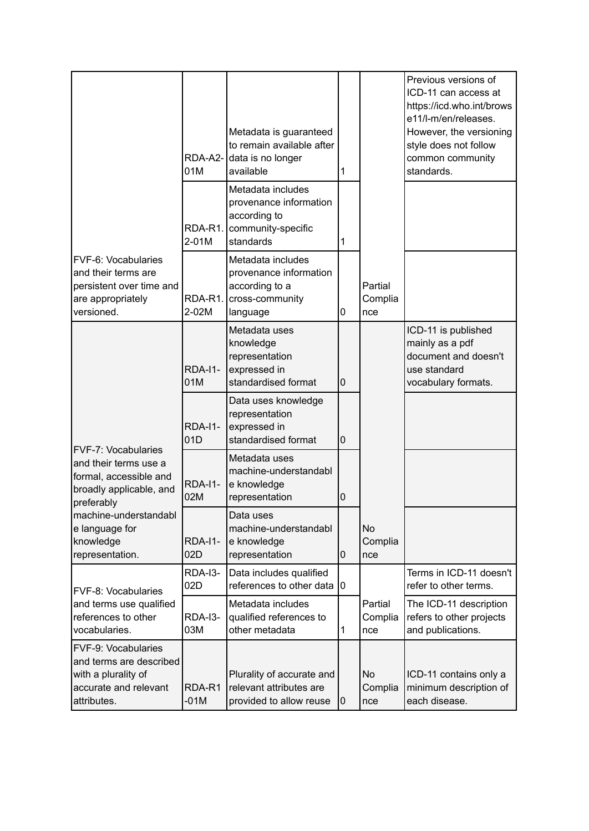|                                                                                                                                                                                                                                                                                                    | 01M                   | Metadata is guaranteed<br>to remain available after<br>RDA-A2- data is no longer<br>available            | 1              |                             | Previous versions of<br>ICD-11 can access at<br>https://icd.who.int/brows<br>e11/l-m/en/releases.<br>However, the versioning<br>style does not follow<br>common community<br>standards. |
|----------------------------------------------------------------------------------------------------------------------------------------------------------------------------------------------------------------------------------------------------------------------------------------------------|-----------------------|----------------------------------------------------------------------------------------------------------|----------------|-----------------------------|-----------------------------------------------------------------------------------------------------------------------------------------------------------------------------------------|
|                                                                                                                                                                                                                                                                                                    | 2-01M                 | Metadata includes<br>provenance information<br>according to<br>RDA-R1.   community-specific<br>standards | 1              |                             |                                                                                                                                                                                         |
| <b>FVF-6: Vocabularies</b><br>and their terms are<br>persistent over time and<br>are appropriately<br>versioned.                                                                                                                                                                                   | RDA-R1.<br>2-02M      | Metadata includes<br>provenance information<br>according to a<br>cross-community<br>language             | 0              | Partial<br>Complia<br>nce   |                                                                                                                                                                                         |
|                                                                                                                                                                                                                                                                                                    | <b>RDA-11-</b><br>01M | Metadata uses<br>knowledge<br>representation<br>expressed in<br>standardised format                      | $\overline{0}$ |                             | ICD-11 is published<br>mainly as a pdf<br>document and doesn't<br>use standard<br>vocabulary formats.                                                                                   |
| <b>FVF-7: Vocabularies</b><br>and their terms use a<br>formal, accessible and<br>broadly applicable, and<br>preferably<br>machine-understandabl<br>e language for<br>knowledge<br>representation.<br><b>FVF-8: Vocabularies</b><br>and terms use qualified<br>references to other<br>vocabularies. | <b>RDA-I1-</b><br>01D | Data uses knowledge<br>representation<br>expressed in<br>standardised format                             | $\overline{0}$ |                             |                                                                                                                                                                                         |
|                                                                                                                                                                                                                                                                                                    | <b>RDA-I1-</b><br>02M | Metadata uses<br>machine-understandabl<br>e knowledge<br>representation                                  | 0              |                             |                                                                                                                                                                                         |
|                                                                                                                                                                                                                                                                                                    | <b>RDA-I1-</b><br>02D | Data uses<br>machine-understandabl<br>e knowledge<br>representation                                      | $\bf{0}$       | <b>No</b><br>Complia<br>nce |                                                                                                                                                                                         |
|                                                                                                                                                                                                                                                                                                    | RDA-I3-<br>02D        | Data includes qualified<br>references to other data                                                      | $\overline{0}$ |                             | Terms in ICD-11 doesn't<br>refer to other terms.                                                                                                                                        |
|                                                                                                                                                                                                                                                                                                    | RDA-I3-<br>03M        | Metadata includes<br>qualified references to<br>other metadata                                           | 1              | Partial<br>Complia<br>nce   | The ICD-11 description<br>refers to other projects<br>and publications.                                                                                                                 |
| <b>FVF-9: Vocabularies</b><br>and terms are described<br>with a plurality of<br>accurate and relevant<br>attributes.                                                                                                                                                                               | RDA-R1<br>$-01M$      | Plurality of accurate and<br>relevant attributes are<br>provided to allow reuse                          | 10             | No<br>Complia<br>nce        | ICD-11 contains only a<br>minimum description of<br>each disease.                                                                                                                       |